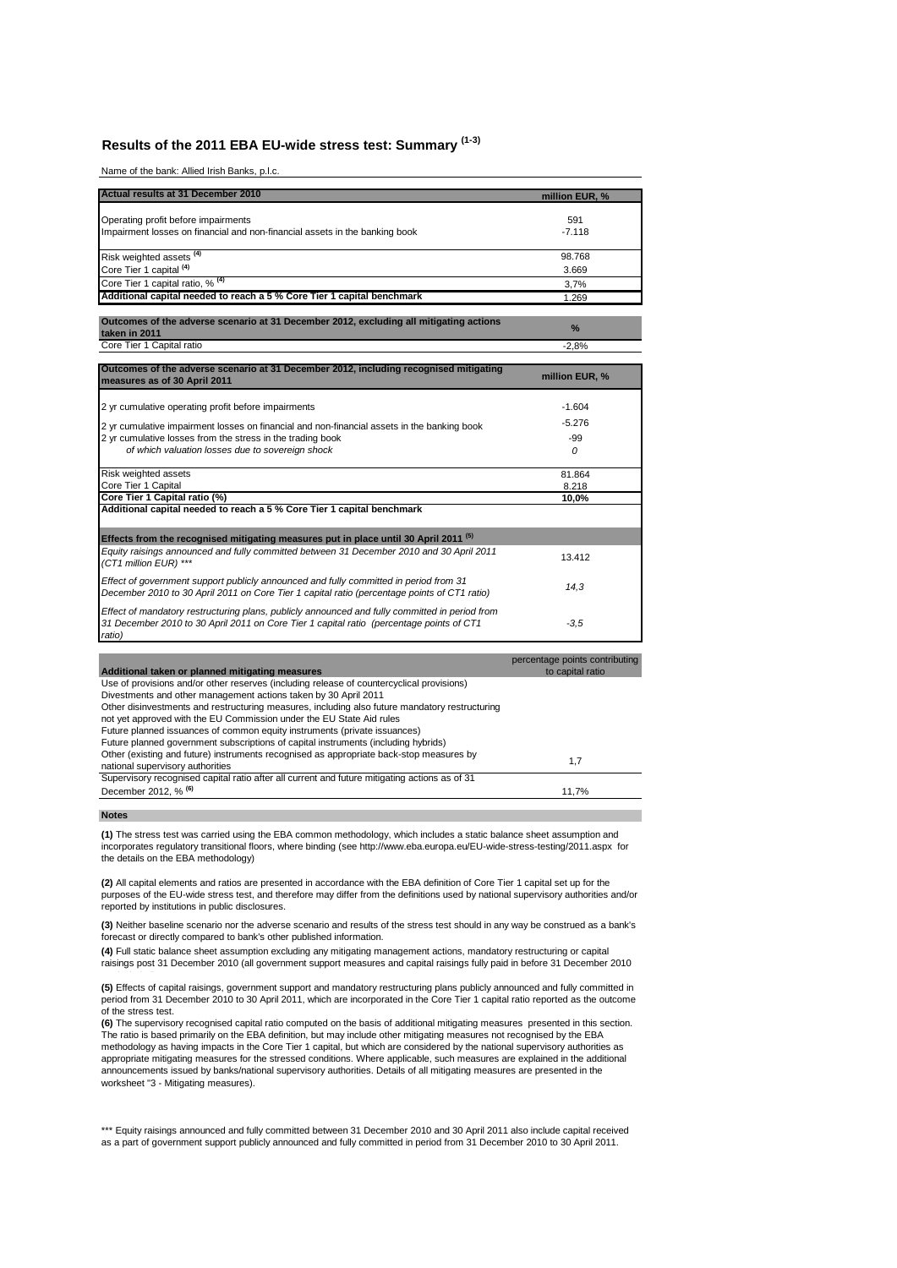# **Results of the 2011 EBA EU-wide stress test: Summary (1-3)**

Name of the bank: Allied Irish Banks, p.l.c.

| <b>Actual results at 31 December 2010</b>                                                               | million EUR, %                                     |
|---------------------------------------------------------------------------------------------------------|----------------------------------------------------|
| Operating profit before impairments                                                                     | 591                                                |
| Impairment losses on financial and non-financial assets in the banking book                             | $-7.118$                                           |
|                                                                                                         |                                                    |
| Risk weighted assets <sup>(4)</sup>                                                                     | 98.768                                             |
| Core Tier 1 capital <sup>(4)</sup>                                                                      | 3.669                                              |
| Core Tier 1 capital ratio, % <sup>(4)</sup>                                                             | 3,7%                                               |
| Additional capital needed to reach a 5 % Core Tier 1 capital benchmark                                  | 1.269                                              |
|                                                                                                         |                                                    |
| Outcomes of the adverse scenario at 31 December 2012, excluding all mitigating actions<br>taken in 2011 | %                                                  |
| Core Tier 1 Capital ratio                                                                               | $-2.8%$                                            |
| Outcomes of the adverse scenario at 31 December 2012, including recognised mitigating                   |                                                    |
| measures as of 30 April 2011                                                                            | million EUR, %                                     |
| 2 yr cumulative operating profit before impairments                                                     | $-1.604$                                           |
|                                                                                                         | $-5.276$                                           |
| 2 yr cumulative impairment losses on financial and non-financial assets in the banking book             |                                                    |
| 2 yr cumulative losses from the stress in the trading book                                              | -99                                                |
| of which valuation losses due to sovereign shock                                                        | 0                                                  |
| Risk weighted assets                                                                                    | 81.864                                             |
| Core Tier 1 Capital                                                                                     | 8.218                                              |
| Core Tier 1 Capital ratio (%)                                                                           | 10,0%                                              |
| Additional capital needed to reach a 5 % Core Tier 1 capital benchmark                                  |                                                    |
| Effects from the recognised mitigating measures put in place until 30 April 2011 <sup>(5)</sup>         |                                                    |
| Equity raisings announced and fully committed between 31 December 2010 and 30 April 2011                | 13.412                                             |
| (CT1 million EUR) ***                                                                                   |                                                    |
| Effect of government support publicly announced and fully committed in period from 31                   |                                                    |
| December 2010 to 30 April 2011 on Core Tier 1 capital ratio (percentage points of CT1 ratio)            | 14,3                                               |
| Effect of mandatory restructuring plans, publicly announced and fully committed in period from          |                                                    |
| 31 December 2010 to 30 April 2011 on Core Tier 1 capital ratio (percentage points of CT1                | $-3.5$                                             |
| ratio)                                                                                                  |                                                    |
|                                                                                                         |                                                    |
| Additional taken or planned mitigating measures                                                         | percentage points contributing<br>to capital ratio |
| Use of provisions and/or other reserves (including release of countercyclical provisions)               |                                                    |
| Divestments and other management actions taken by 30 April 2011                                         |                                                    |
| Other disinvestments and restructuring measures, including also future mandatory restructuring          |                                                    |
| not yet approved with the EU Commission under the EU State Aid rules                                    |                                                    |
| Future planned issuances of common equity instruments (private issuances)                               |                                                    |
| Future planned government subscriptions of capital instruments (including hybrids)                      |                                                    |
| Other (existing and future) instruments recognised as appropriate back-stop measures by                 | 1,7                                                |
| national supervisory authorities                                                                        |                                                    |
| Supervisory recognised capital ratio after all current and future mitigating actions as of 31           |                                                    |
| December 2012, % <sup>(6)</sup>                                                                         | 11,7%                                              |

**Notes**

**(1)** The stress test was carried using the EBA common methodology, which includes a static balance sheet assumption and incorporates regulatory transitional floors, where binding (see http://www.eba.europa.eu/EU-wide-stress-testing/2011.aspx for the details on the EBA methodology)

**(2)** All capital elements and ratios are presented in accordance with the EBA definition of Core Tier 1 capital set up for the purposes of the EU-wide stress test, and therefore may differ from the definitions used by national supervisory authorities and/or reported by institutions in public disclosures.

**(3)** Neither baseline scenario nor the adverse scenario and results of the stress test should in any way be construed as a bank's forecast or directly compared to bank's other published information.

**(4)** Full static balance sheet assumption excluding any mitigating management actions, mandatory restructuring or capital raisings post 31 December 2010 (all government support measures and capital raisings fully paid in before 31 December 2010

**(5)** Effects of capital raisings, government support and mandatory restructuring plans publicly announced and fully committed in<br>period from 31 December 2010 to 30 April 2011, which are incorporated in the Core Tier 1 cap of the stress test.

**(6)** The supervisory recognised capital ratio computed on the basis of additional mitigating measures presented in this section. The ratio is based primarily on the EBA definition, but may include other mitigating measures not recognised by the EBA methodology as having impacts in the Core Tier 1 capital, but which are considered by the national supervisory authorities as appropriate mitigating measures for the stressed conditions. Where applicable, such measures are explained in the additional announcements issued by banks/national supervisory authorities. Details of all mitigating measures are presented in the worksheet "3 - Mitigating measures).

\*\*\* Equity raisings announced and fully committed between 31 December 2010 and 30 April 2011 also include capital received as a part of government support publicly announced and fully committed in period from 31 December 2010 to 30 April 2011.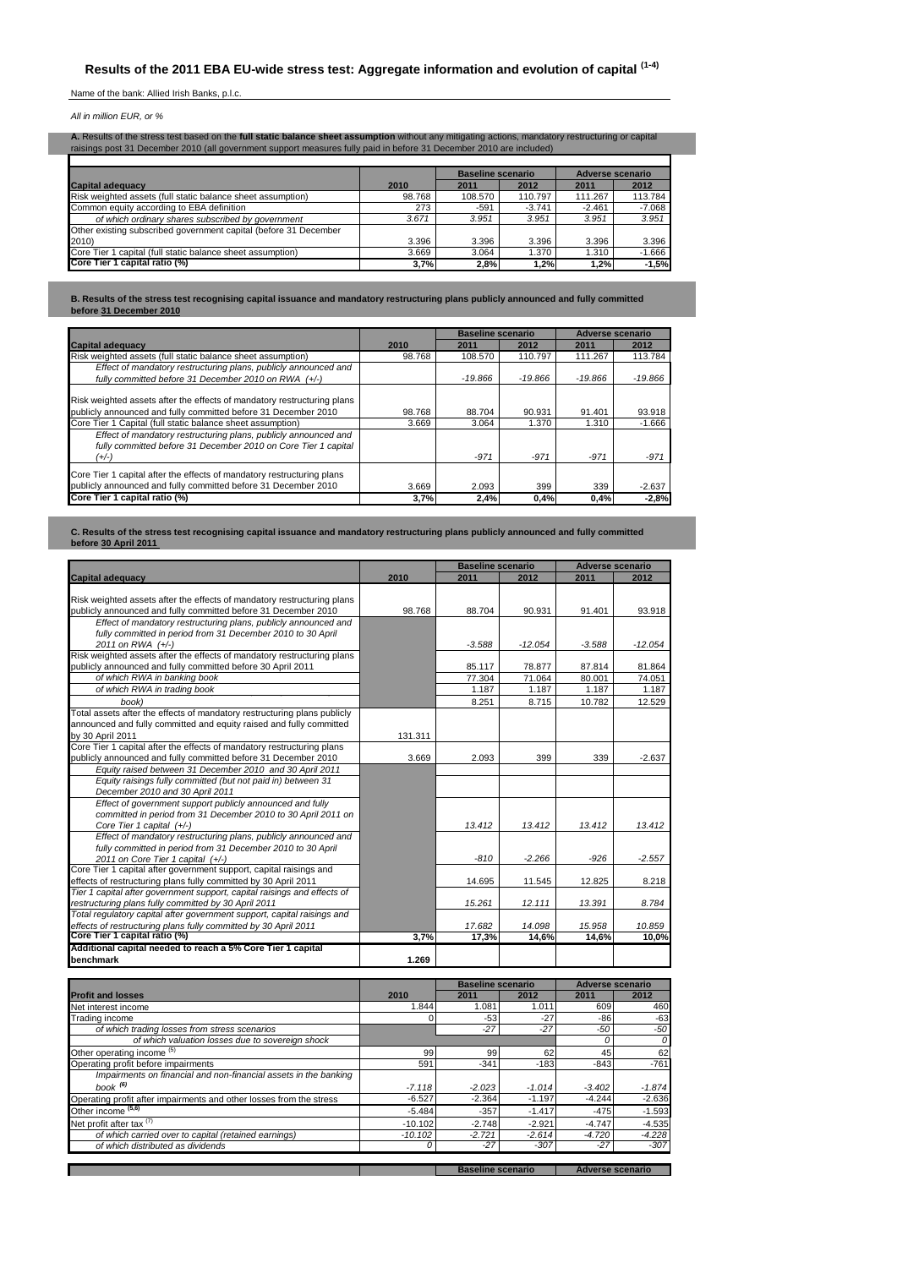Name of the bank: Allied Irish Banks, p.l.c.

*All in million EUR, or %*

Г

| A. Results of the stress test based on the full static balance sheet assumption without any mitigating actions, mandatory restructuring or capital<br>raisings post 31 December 2010 (all government support measures fully paid in before 31 December 2010 are included) |        |                   |          |                  |          |  |  |  |  |  |  |
|---------------------------------------------------------------------------------------------------------------------------------------------------------------------------------------------------------------------------------------------------------------------------|--------|-------------------|----------|------------------|----------|--|--|--|--|--|--|
|                                                                                                                                                                                                                                                                           |        | Baseline scenario |          | Adverse scenario |          |  |  |  |  |  |  |
| <b>Capital adequacy</b>                                                                                                                                                                                                                                                   | 2010   | 2011              | 2012     | 2011             | 2012     |  |  |  |  |  |  |
| Risk weighted assets (full static balance sheet assumption)                                                                                                                                                                                                               | 98.768 | 108.570           | 110.797  | 111.267          | 113.784  |  |  |  |  |  |  |
| Common equity according to EBA definition                                                                                                                                                                                                                                 | 273    | $-591$            | $-3.741$ | $-2.461$         | $-7.068$ |  |  |  |  |  |  |
| of which ordinary shares subscribed by government                                                                                                                                                                                                                         | 3.671  | 3.951             | 3.951    | 3.951            | 3.951    |  |  |  |  |  |  |
| Other existing subscribed government capital (before 31 December                                                                                                                                                                                                          |        |                   |          |                  |          |  |  |  |  |  |  |
| 2010)                                                                                                                                                                                                                                                                     | 3.396  | 3.396             | 3.396    | 3.396            | 3.396    |  |  |  |  |  |  |
| Core Tier 1 capital (full static balance sheet assumption)                                                                                                                                                                                                                | 3.669  | 3.064             | 1.370    | 1.310            | $-1.666$ |  |  |  |  |  |  |
| Core Tier 1 capital ratio (%)                                                                                                                                                                                                                                             | 3,7%   | 2,8%              | 1,2%     | 1,2%             | $-1,5%$  |  |  |  |  |  |  |

**B. Results of the stress test recognising capital issuance and mandatory restructuring plans publicly announced and fully committed before 31 December 2010**

|                                                                                                                                            |        | <b>Baseline scenario</b> |           | Adverse scenario |           |  |  |
|--------------------------------------------------------------------------------------------------------------------------------------------|--------|--------------------------|-----------|------------------|-----------|--|--|
| <b>Capital adequacy</b>                                                                                                                    | 2010   | 2011                     | 2012      | 2011             | 2012      |  |  |
| Risk weighted assets (full static balance sheet assumption)                                                                                | 98.768 | 108,570                  | 110.797   | 111.267          | 113.784   |  |  |
| Effect of mandatory restructuring plans, publicly announced and<br>fully committed before 31 December 2010 on RWA (+/-)                    |        | $-19.866$                | $-19.866$ | $-19.866$        | $-19.866$ |  |  |
| Risk weighted assets after the effects of mandatory restructuring plans<br>publicly announced and fully committed before 31 December 2010  | 98.768 | 88.704                   | 90.931    | 91.401           | 93.918    |  |  |
| Core Tier 1 Capital (full static balance sheet assumption)                                                                                 | 3.669  | 3.064                    | 1.370     | 1.310            | $-1.666$  |  |  |
| Effect of mandatory restructuring plans, publicly announced and<br>fully committed before 31 December 2010 on Core Tier 1 capital<br>(+/-) |        | $-971$                   | $-971$    | $-971$           | $-971$    |  |  |
| Core Tier 1 capital after the effects of mandatory restructuring plans<br>publicly announced and fully committed before 31 December 2010   | 3.669  | 2.093                    | 399       | 339              | $-2.637$  |  |  |
| Core Tier 1 capital ratio (%)                                                                                                              | 3,7%   | 2.4%                     | 0,4%      | 0,4%             | $-2.8%$   |  |  |

**C. Results of the stress test recognising capital issuance and mandatory restructuring plans publicly announced and fully committed before 30 April 2011** 

|                                                                          |           | <b>Baseline scenario</b> |           | <b>Adverse scenario</b> |           |
|--------------------------------------------------------------------------|-----------|--------------------------|-----------|-------------------------|-----------|
| <b>Capital adequacy</b>                                                  | 2010      | 2011                     | 2012      | 2011                    | 2012      |
|                                                                          |           |                          |           |                         |           |
| Risk weighted assets after the effects of mandatory restructuring plans  |           |                          |           |                         |           |
| publicly announced and fully committed before 31 December 2010           | 98.768    | 88.704                   | 90.931    | 91.401                  | 93.918    |
| Effect of mandatory restructuring plans, publicly announced and          |           |                          |           |                         |           |
| fully committed in period from 31 December 2010 to 30 April              |           |                          |           |                         |           |
| 2011 on RWA (+/-)                                                        |           | $-3.588$                 | $-12.054$ | $-3.588$                | $-12.054$ |
| Risk weighted assets after the effects of mandatory restructuring plans  |           |                          |           |                         |           |
| publicly announced and fully committed before 30 April 2011              |           | 85.117                   | 78.877    | 87.814                  | 81.864    |
| of which RWA in banking book                                             |           | 77.304                   | 71.064    | 80.001                  | 74.051    |
| of which RWA in trading book                                             |           | 1.187                    | 1.187     | 1.187                   | 1.187     |
| book)                                                                    |           | 8.251                    | 8.715     | 10.782                  | 12.529    |
| Total assets after the effects of mandatory restructuring plans publicly |           |                          |           |                         |           |
| announced and fully committed and equity raised and fully committed      |           |                          |           |                         |           |
| by 30 April 2011                                                         | 131.311   |                          |           |                         |           |
| Core Tier 1 capital after the effects of mandatory restructuring plans   |           |                          |           |                         |           |
| publicly announced and fully committed before 31 December 2010           | 3.669     | 2.093                    | 399       | 339                     | $-2.637$  |
| Equity raised between 31 December 2010 and 30 April 2011                 |           |                          |           |                         |           |
| Equity raisings fully committed (but not paid in) between 31             |           |                          |           |                         |           |
| December 2010 and 30 April 2011                                          |           |                          |           |                         |           |
| Effect of government support publicly announced and fully                |           |                          |           |                         |           |
| committed in period from 31 December 2010 to 30 April 2011 on            |           |                          |           |                         |           |
| Core Tier 1 capital (+/-)                                                |           | 13.412                   | 13.412    | 13.412                  | 13.412    |
| Effect of mandatory restructuring plans, publicly announced and          |           |                          |           |                         |           |
| fully committed in period from 31 December 2010 to 30 April              |           |                          |           |                         |           |
| 2011 on Core Tier 1 capital (+/-)                                        |           | $-810$                   | $-2.266$  | $-926$                  | $-2.557$  |
| Core Tier 1 capital after government support, capital raisings and       |           |                          |           |                         |           |
| effects of restructuring plans fully committed by 30 April 2011          |           | 14.695                   | 11.545    | 12.825                  | 8.218     |
| Tier 1 capital after government support, capital raisings and effects of |           |                          |           |                         |           |
| restructuring plans fully committed by 30 April 2011                     |           | 15.261                   | 12.111    | 13.391                  | 8.784     |
| Total regulatory capital after government support, capital raisings and  |           |                          |           |                         |           |
| effects of restructuring plans fully committed by 30 April 2011          |           | 17.682                   | 14.098    | 15.958                  | 10.859    |
| Core Tier 1 capital ratio (%)                                            | 3,7%      | 17,3%                    | 14,6%     | 14,6%                   | 10,0%     |
| Additional capital needed to reach a 5% Core Tier 1 capital              |           |                          |           |                         |           |
| benchmark                                                                | 1.269     |                          |           |                         |           |
|                                                                          |           |                          |           |                         |           |
|                                                                          |           | <b>Baseline scenario</b> |           | <b>Adverse scenario</b> |           |
| <b>Profit and losses</b>                                                 | 2010      | 2011                     | 2012      | 2011                    | 2012      |
| Net interest income                                                      | 1.844     | 1.081                    | 1.011     | 609                     | 460       |
| Trading income                                                           |           | $-53$                    | $-27$     | $-86$                   | $-63$     |
| of which trading losses from stress scenarios                            |           | $-27$                    | $-27$     | $-50$                   | -50       |
| of which valuation losses due to sovereign shock                         |           |                          |           | 0                       | 0         |
| Other operating income <sup>(5)</sup>                                    | 99        | 99                       | 62        | 45                      | 62        |
| Operating profit before impairments                                      | 591       | $-341$                   | $-183$    | $-843$                  | $-761$    |
| Impairments on financial and non-financial assets in the banking         |           |                          |           |                         |           |
| book $(6)$                                                               |           |                          |           |                         |           |
|                                                                          | $-7.118$  | $-2.023$                 | $-1.014$  | $-3.402$                | $-1.874$  |
| Operating profit after impairments and other losses from the stress      | $-6.527$  | $-2.364$                 | $-1.197$  | $-4.244$                | $-2.636$  |
| Other income (5,6)                                                       | $-5.484$  | $-357$                   | $-1.417$  | $-475$                  | $-1.593$  |
| Net profit after tax <sup>(7)</sup>                                      | $-10.102$ | $-2.748$                 | $-2.921$  | $-4.747$                | $-4.535$  |
| of which carried over to capital (retained earnings)                     | $-10.102$ | $-2.721$                 | $-2.614$  | $-4.720$                | $-4.228$  |
| of which distributed as dividends                                        | 0         | $-27$                    | $-307$    | $-27$                   | $-307$    |

**Baseline scenario** | Adverse scenario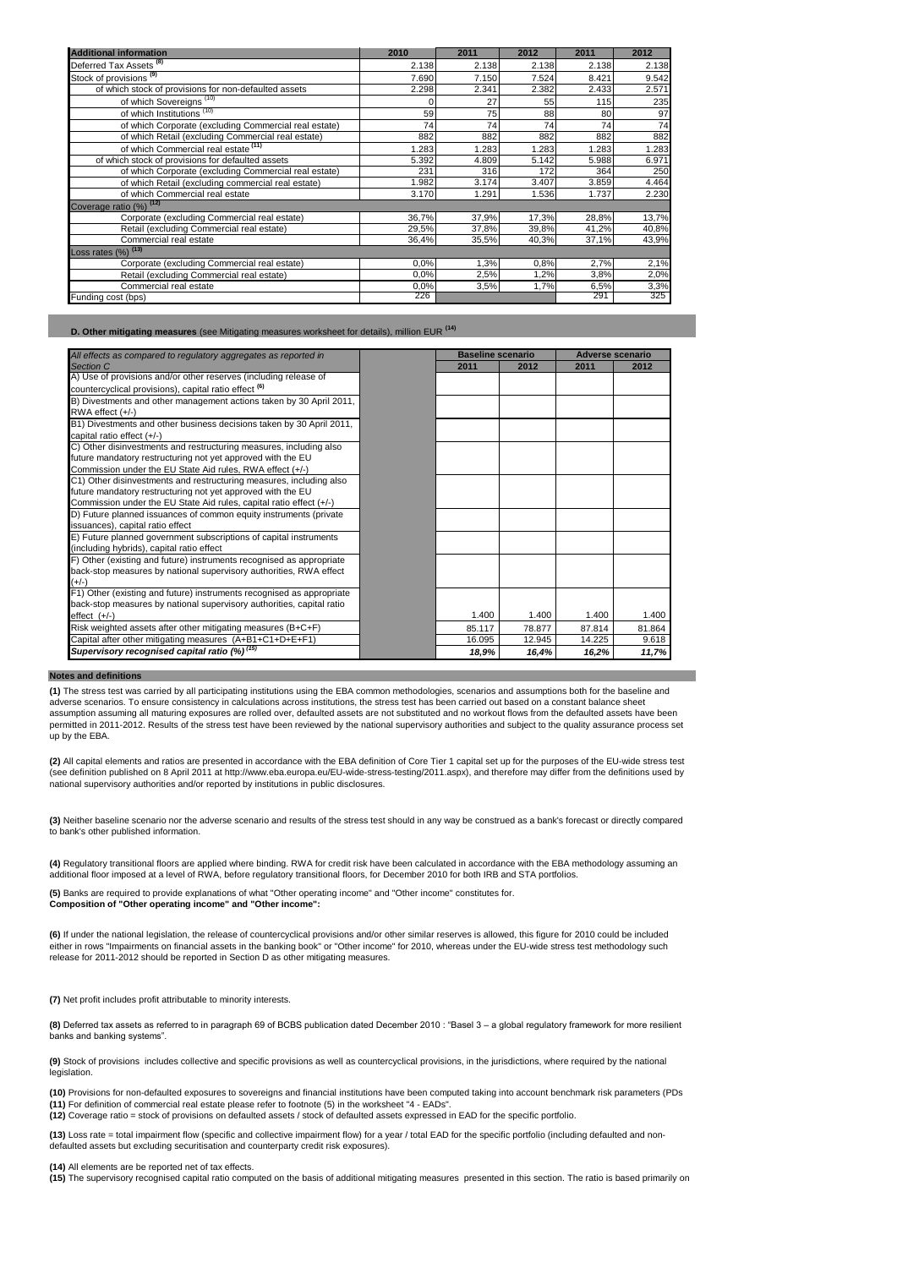| <b>Additional information</b>                         | 2010  | 2011                    | 2012  | 2011  | 2012  |
|-------------------------------------------------------|-------|-------------------------|-------|-------|-------|
| Deferred Tax Assets <sup>(8)</sup>                    | 2.138 | 2.138                   | 2.138 | 2.138 | 2.138 |
| Stock of provisions <sup>(9)</sup>                    | 7.690 | 7.150                   | 7.524 | 8.421 | 9.542 |
| of which stock of provisions for non-defaulted assets | 2.298 | 2.341                   | 2.382 | 2.433 | 2.571 |
| of which Sovereigns <sup>(10)</sup>                   |       | 27                      | 55    | 115   | 235   |
| of which Institutions <sup>(10)</sup>                 | 59    | 75                      | 88    | 80    | 97    |
| of which Corporate (excluding Commercial real estate) | 74    | 74                      | 74    | 74    | 74    |
| of which Retail (excluding Commercial real estate)    | 882   | 882                     | 882   | 882   | 882   |
| of which Commercial real estate (11)                  | 1.283 | 1.283                   | 1.283 | 1.283 | 1.283 |
| of which stock of provisions for defaulted assets     | 5.392 | 4.809<br>5.142<br>5.988 |       |       |       |
| of which Corporate (excluding Commercial real estate) | 231   | 316<br>172              |       |       |       |
| of which Retail (excluding commercial real estate)    | 1.982 | 3.174                   | 3.407 | 3.859 | 4.464 |
| of which Commercial real estate                       | 3.170 | 1.737<br>1.291<br>1.536 |       |       |       |
| Coverage ratio (%) (12)                               |       |                         |       |       |       |
| Corporate (excluding Commercial real estate)          | 36,7% | 37,9%                   | 17,3% | 28,8% | 13,7% |
| Retail (excluding Commercial real estate)             | 29,5% | 37,8%                   | 39,8% | 41,2% | 40,8% |
| Commercial real estate                                | 36,4% | 35,5%                   | 40,3% | 37,1% | 43,9% |
| Loss rates $(%)$ $(13)$                               |       |                         |       |       |       |
| Corporate (excluding Commercial real estate)          | 0.0%  | 1.3%                    | 0,8%  | 2,7%  | 2,1%  |
| Retail (excluding Commercial real estate)             | 0.0%  | 2,5%                    | 1,2%  | 3,8%  | 2,0%  |
| Commercial real estate                                | 0.0%  | 3,5%                    | 1,7%  | 6,5%  | 3,3%  |
| Funding cost (bps)                                    | 226   |                         |       | 291   | 325   |

**D. Other mitigating measures** (see Mitigating measures worksheet for details), million EUR **(14)**

| All effects as compared to regulatory aggregates as reported in       | <b>Baseline scenario</b> |        |        | <b>Adverse scenario</b> |  |
|-----------------------------------------------------------------------|--------------------------|--------|--------|-------------------------|--|
| Section C                                                             | 2011                     | 2012   | 2011   | 2012                    |  |
| A) Use of provisions and/or other reserves (including release of      |                          |        |        |                         |  |
| countercyclical provisions), capital ratio effect <sup>(6)</sup>      |                          |        |        |                         |  |
| B) Divestments and other management actions taken by 30 April 2011,   |                          |        |        |                         |  |
| RWA effect (+/-)                                                      |                          |        |        |                         |  |
| B1) Divestments and other business decisions taken by 30 April 2011,  |                          |        |        |                         |  |
| capital ratio effect (+/-)                                            |                          |        |        |                         |  |
| C) Other disinvestments and restructuring measures, including also    |                          |        |        |                         |  |
| future mandatory restructuring not yet approved with the EU           |                          |        |        |                         |  |
| Commission under the EU State Aid rules, RWA effect (+/-)             |                          |        |        |                         |  |
| C1) Other disinvestments and restructuring measures, including also   |                          |        |        |                         |  |
| future mandatory restructuring not yet approved with the EU           |                          |        |        |                         |  |
| Commission under the EU State Aid rules, capital ratio effect (+/-)   |                          |        |        |                         |  |
| D) Future planned issuances of common equity instruments (private     |                          |        |        |                         |  |
| issuances), capital ratio effect                                      |                          |        |        |                         |  |
| E) Future planned government subscriptions of capital instruments     |                          |        |        |                         |  |
| (including hybrids), capital ratio effect                             |                          |        |        |                         |  |
| F) Other (existing and future) instruments recognised as appropriate  |                          |        |        |                         |  |
| back-stop measures by national supervisory authorities, RWA effect    |                          |        |        |                         |  |
| $(+/-)$                                                               |                          |        |        |                         |  |
| F1) Other (existing and future) instruments recognised as appropriate |                          |        |        |                         |  |
| back-stop measures by national supervisory authorities, capital ratio |                          |        |        |                         |  |
| $effect$ $(+/-)$                                                      | 1.400                    | 1.400  | 1.400  | 1.400                   |  |
| Risk weighted assets after other mitigating measures (B+C+F)          | 85.117                   | 78.877 | 87.814 | 81.864                  |  |
| Capital after other mitigating measures (A+B1+C1+D+E+F1)              | 16.095                   | 12.945 | 14.225 | 9.618                   |  |
| Supervisory recognised capital ratio (%) <sup>(15)</sup>              | 18,9%                    | 16,4%  | 16,2%  | 11,7%                   |  |

#### **Notes and definitions**

**(1)** The stress test was carried by all participating institutions using the EBA common methodologies, scenarios and assumptions both for the baseline and adverse scenarios. To ensure consistency in calculations across institutions, the stress test has been carried out based on a constant balance sheet assumption assuming all maturing exposures are rolled over, defaulted assets are not substituted and no workout flows from the defaulted assets have been permitted in 2011-2012. Results of the stress test have been reviewed by the national supervisory authorities and subject to the quality assurance process set up by the EBA.

**(2)** All capital elements and ratios are presented in accordance with the EBA definition of Core Tier 1 capital set up for the purposes of the EU-wide stress test (see definition published on 8 April 2011 at http://www.eba.europa.eu/EU-wide-stress-testing/2011.aspx), and therefore may differ from the definitions used by national supervisory authorities and/or reported by institutions in public disclosures.

**(3)** Neither baseline scenario nor the adverse scenario and results of the stress test should in any way be construed as a bank's forecast or directly compared to bank's other published information.

**(4)** Regulatory transitional floors are applied where binding. RWA for credit risk have been calculated in accordance with the EBA methodology assuming an additional floor imposed at a level of RWA, before regulatory transitional floors, for December 2010 for both IRB and STA portfolios.

**(5)** Banks are required to provide explanations of what "Other operating income" and "Other income" constitutes for. **Composition of "Other operating income" and "Other income":**

**(6)** If under the national legislation, the release of countercyclical provisions and/or other similar reserves is allowed, this figure for 2010 could be included either in rows "Impairments on financial assets in the banking book" or "Other income" for 2010, whereas under the EU-wide stress test methodology such release for 2011-2012 should be reported in Section D as other mitigating measures.

**(7)** Net profit includes profit attributable to minority interests.

**(8)** Deferred tax assets as referred to in paragraph 69 of BCBS publication dated December 2010 : "Basel 3 – a global regulatory framework for more resilient banks and banking systems".

**(9)** Stock of provisions includes collective and specific provisions as well as countercyclical provisions, in the jurisdictions, where required by the national legislation.

**(10)** Provisions for non-defaulted exposures to sovereigns and financial institutions have been computed taking into account benchmark risk parameters (PDs<br>**(11)** For definition of commercial real estate please refer to f **(12)** Coverage ratio = stock of provisions on defaulted assets / stock of defaulted assets expressed in EAD for the specific portfolio.

**(13)** Loss rate = total impairment flow (specific and collective impairment flow) for a year / total EAD for the specific portfolio (including defaulted and nondefaulted assets but excluding securitisation and counterparty credit risk exposures).

**(14)** All elements are be reported net of tax effects.

**(15)** The supervisory recognised capital ratio computed on the basis of additional mitigating measures presented in this section. The ratio is based primarily on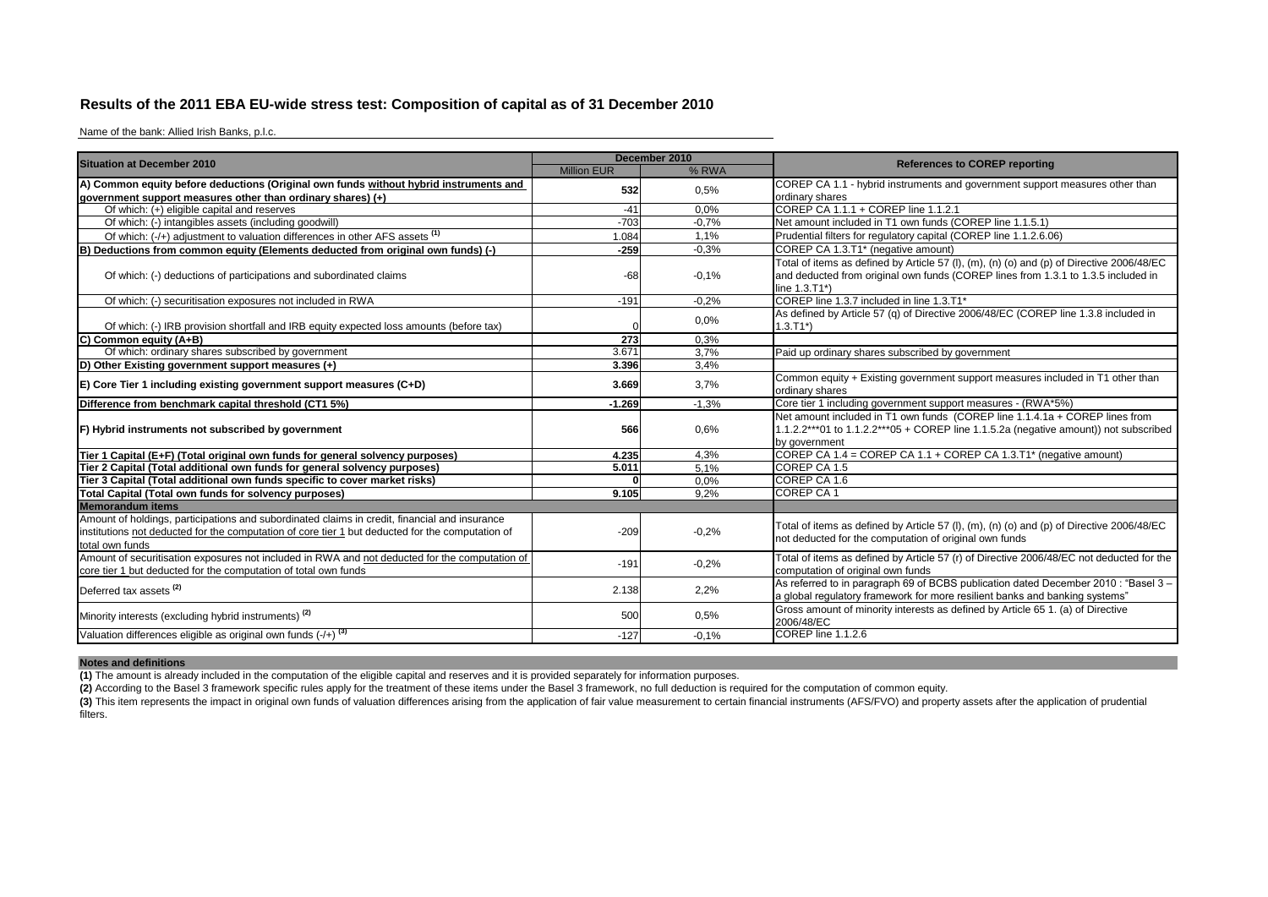## **Results of the 2011 EBA EU-wide stress test: Composition of capital as of 31 December 2010**

Name of the bank: Allied Irish Banks, p.l.c.

| <b>Situation at December 2010</b>                                                                                                                                                                                    |                    | December 2010 |                                                                                                                                                                                                 |
|----------------------------------------------------------------------------------------------------------------------------------------------------------------------------------------------------------------------|--------------------|---------------|-------------------------------------------------------------------------------------------------------------------------------------------------------------------------------------------------|
|                                                                                                                                                                                                                      | <b>Million EUR</b> | % RWA         | <b>References to COREP reporting</b>                                                                                                                                                            |
| A) Common equity before deductions (Original own funds without hybrid instruments and                                                                                                                                | 532                | 0.5%          | COREP CA 1.1 - hybrid instruments and government support measures other than                                                                                                                    |
| government support measures other than ordinary shares) (+)                                                                                                                                                          |                    |               | ordinary shares                                                                                                                                                                                 |
| Of which: (+) eligible capital and reserves                                                                                                                                                                          | $-41$              | 0.0%          | COREP CA 1.1.1 + COREP line 1.1.2.1                                                                                                                                                             |
| Of which: (-) intangibles assets (including goodwill)                                                                                                                                                                | $-703$             | $-0.7%$       | Net amount included in T1 own funds (COREP line 1.1.5.1)                                                                                                                                        |
| Of which: (-/+) adjustment to valuation differences in other AFS assets <sup>(1)</sup>                                                                                                                               | 1.084              | 1,1%          | Prudential filters for regulatory capital (COREP line 1.1.2.6.06)                                                                                                                               |
| B) Deductions from common equity (Elements deducted from original own funds) (-)                                                                                                                                     | $-259$             | $-0.3%$       | COREP CA 1.3.T1* (negative amount)                                                                                                                                                              |
| Of which: (-) deductions of participations and subordinated claims                                                                                                                                                   | -68                | $-0.1%$       | Total of items as defined by Article 57 (I), (m), (n) (o) and (p) of Directive 2006/48/EC<br>and deducted from original own funds (COREP lines from 1.3.1 to 1.3.5 included in<br>line 1.3.T1*) |
| Of which: (-) securitisation exposures not included in RWA                                                                                                                                                           | $-191$             | $-0.2%$       | COREP line 1.3.7 included in line 1.3.T1*                                                                                                                                                       |
| Of which: (-) IRB provision shortfall and IRB equity expected loss amounts (before tax)                                                                                                                              |                    | 0.0%          | As defined by Article 57 (q) of Directive 2006/48/EC (COREP line 1.3.8 included in<br>$1.3.T1*$ )                                                                                               |
| C) Common equity (A+B)                                                                                                                                                                                               | 273                | 0.3%          |                                                                                                                                                                                                 |
| Of which: ordinary shares subscribed by government                                                                                                                                                                   | 3.671              | 3,7%          | Paid up ordinary shares subscribed by government                                                                                                                                                |
| D) Other Existing government support measures (+)                                                                                                                                                                    | 3.396              | 3.4%          |                                                                                                                                                                                                 |
| E) Core Tier 1 including existing government support measures (C+D)                                                                                                                                                  | 3.669              | 3,7%          | Common equity + Existing government support measures included in T1 other than<br>ordinary shares                                                                                               |
| Difference from benchmark capital threshold (CT1 5%)                                                                                                                                                                 | $-1.269$           | $-1,3%$       | Core tier 1 including government support measures - (RWA*5%)                                                                                                                                    |
| F) Hybrid instruments not subscribed by government                                                                                                                                                                   | 566                | 0.6%          | Net amount included in T1 own funds (COREP line 1.1.4.1a + COREP lines from<br>1.1.2.2***01 to 1.1.2.2***05 + COREP line 1.1.5.2a (negative amount)) not subscribed<br>by government            |
| Tier 1 Capital (E+F) (Total original own funds for general solvency purposes)                                                                                                                                        | 4.235              | 4,3%          | COREP CA $1.4$ = COREP CA $1.1$ + COREP CA $1.3$ . T1 <sup>*</sup> (negative amount)                                                                                                            |
| Tier 2 Capital (Total additional own funds for general solvency purposes)                                                                                                                                            | 5.011              | 5,1%          | COREP CA 1.5                                                                                                                                                                                    |
| Tier 3 Capital (Total additional own funds specific to cover market risks)                                                                                                                                           |                    | 0.0%          | COREP CA 1.6                                                                                                                                                                                    |
| Total Capital (Total own funds for solvency purposes)                                                                                                                                                                | 9.105              | 9.2%          | COREP CA 1                                                                                                                                                                                      |
| <b>Memorandum items</b>                                                                                                                                                                                              |                    |               |                                                                                                                                                                                                 |
| Amount of holdings, participations and subordinated claims in credit, financial and insurance<br>institutions not deducted for the computation of core tier 1 but deducted for the computation of<br>total own funds | $-209$             | $-0.2%$       | Total of items as defined by Article 57 (I), (m), (n) (o) and (p) of Directive 2006/48/EC<br>not deducted for the computation of original own funds                                             |
| Amount of securitisation exposures not included in RWA and not deducted for the computation of<br>core tier 1 but deducted for the computation of total own funds                                                    | $-191$             | $-0.2%$       | Total of items as defined by Article 57 (r) of Directive 2006/48/EC not deducted for the<br>computation of original own funds                                                                   |
| Deferred tax assets <sup>(2)</sup>                                                                                                                                                                                   | 2.138              | 2,2%          | As referred to in paragraph 69 of BCBS publication dated December 2010 : "Basel 3 -<br>a global regulatory framework for more resilient banks and banking systems"                              |
| Minority interests (excluding hybrid instruments) <sup>(2)</sup>                                                                                                                                                     | 500                | 0.5%          | Gross amount of minority interests as defined by Article 65 1. (a) of Directive<br>2006/48/EC                                                                                                   |
| Valuation differences eligible as original own funds $(+)$ <sup>(3)</sup>                                                                                                                                            | $-127$             | $-0.1%$       | COREP line 1.1.2.6                                                                                                                                                                              |

## **Notes and definitions**

**(1)** The amount is already included in the computation of the eligible capital and reserves and it is provided separately for information purposes.

**(2)** According to the Basel 3 framework specific rules apply for the treatment of these items under the Basel 3 framework, no full deduction is required for the computation of common equity.

(3) This item represents the impact in original own funds of valuation differences arising from the application of fair value measurement to certain financial instruments (AFS/FVO) and property assets after the application filters.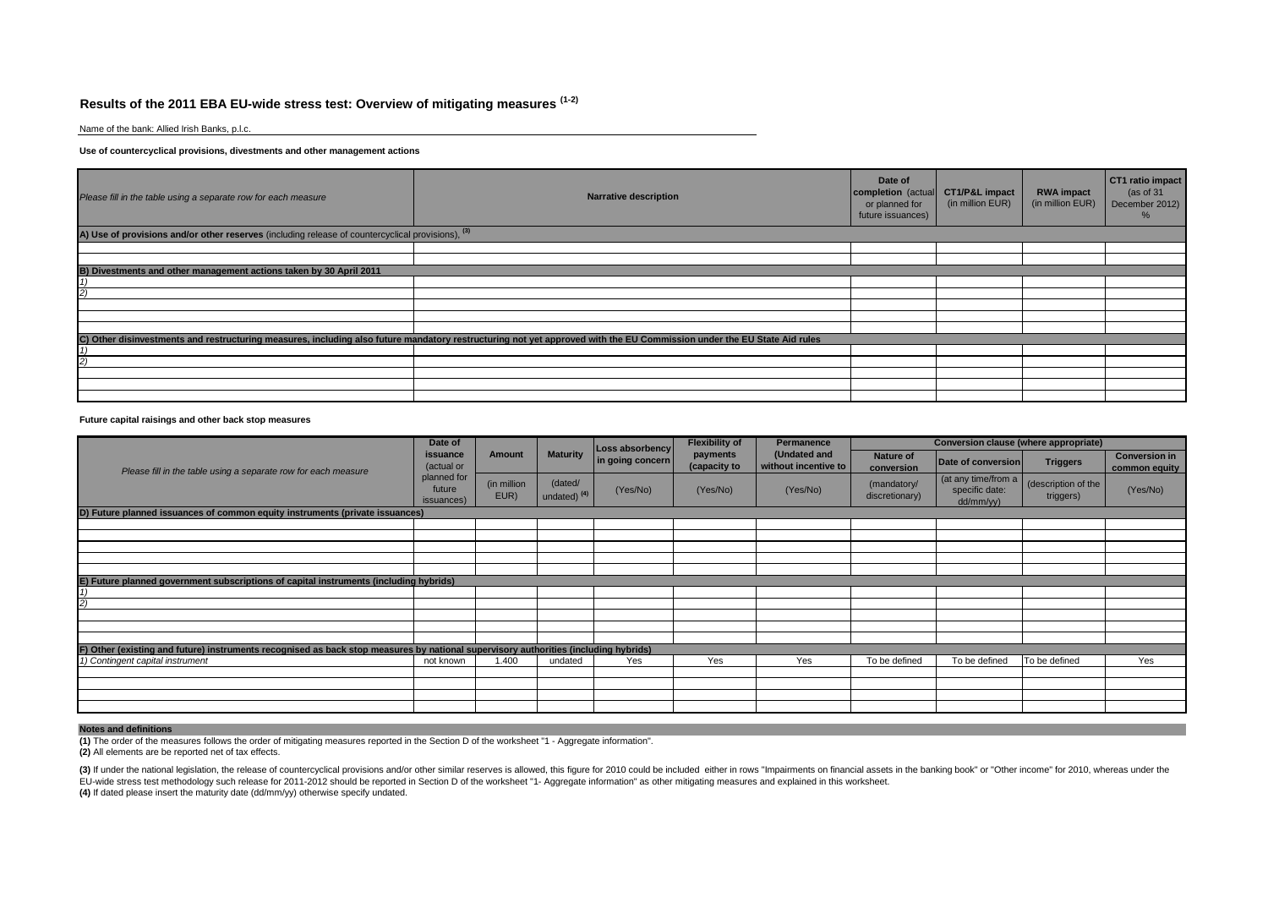# **Results of the 2011 EBA EU-wide stress test: Overview of mitigating measures (1-2)**

Name of the bank: Allied Irish Banks, p.l.c.

### **Use of countercyclical provisions, divestments and other management actions**

| Please fill in the table using a separate row for each measure                                    | Date of<br>completion (actual<br>or planned for<br>future issuances)                                                                                                   | CT1/P&L impact<br>(in million EUR) | <b>RWA impact</b><br>(in million EUR) | CT1 ratio impact<br>(as of 31)<br>December 2012)<br>‰ |  |  |  |  |  |  |  |  |
|---------------------------------------------------------------------------------------------------|------------------------------------------------------------------------------------------------------------------------------------------------------------------------|------------------------------------|---------------------------------------|-------------------------------------------------------|--|--|--|--|--|--|--|--|
| A) Use of provisions and/or other reserves (including release of countercyclical provisions), (3) |                                                                                                                                                                        |                                    |                                       |                                                       |  |  |  |  |  |  |  |  |
|                                                                                                   |                                                                                                                                                                        |                                    |                                       |                                                       |  |  |  |  |  |  |  |  |
|                                                                                                   |                                                                                                                                                                        |                                    |                                       |                                                       |  |  |  |  |  |  |  |  |
| B) Divestments and other management actions taken by 30 April 2011                                |                                                                                                                                                                        |                                    |                                       |                                                       |  |  |  |  |  |  |  |  |
|                                                                                                   |                                                                                                                                                                        |                                    |                                       |                                                       |  |  |  |  |  |  |  |  |
|                                                                                                   |                                                                                                                                                                        |                                    |                                       |                                                       |  |  |  |  |  |  |  |  |
|                                                                                                   |                                                                                                                                                                        |                                    |                                       |                                                       |  |  |  |  |  |  |  |  |
|                                                                                                   |                                                                                                                                                                        |                                    |                                       |                                                       |  |  |  |  |  |  |  |  |
|                                                                                                   |                                                                                                                                                                        |                                    |                                       |                                                       |  |  |  |  |  |  |  |  |
|                                                                                                   | C) Other disinvestments and restructuring measures, including also future mandatory restructuring not yet approved with the EU Commission under the EU State Aid rules |                                    |                                       |                                                       |  |  |  |  |  |  |  |  |
|                                                                                                   |                                                                                                                                                                        |                                    |                                       |                                                       |  |  |  |  |  |  |  |  |
|                                                                                                   |                                                                                                                                                                        |                                    |                                       |                                                       |  |  |  |  |  |  |  |  |
|                                                                                                   |                                                                                                                                                                        |                                    |                                       |                                                       |  |  |  |  |  |  |  |  |
|                                                                                                   |                                                                                                                                                                        |                                    |                                       |                                                       |  |  |  |  |  |  |  |  |
|                                                                                                   |                                                                                                                                                                        |                                    |                                       |                                                       |  |  |  |  |  |  |  |  |

### **Future capital raisings and other back stop measures**

|                                                                                                                                     | Date of                             |                     |                                    | Loss absorbency  | <b>Flexibility of</b>    | Permanence                           |                                | Conversion clause (where appropriate)              |                                  |                                       |
|-------------------------------------------------------------------------------------------------------------------------------------|-------------------------------------|---------------------|------------------------------------|------------------|--------------------------|--------------------------------------|--------------------------------|----------------------------------------------------|----------------------------------|---------------------------------------|
| Please fill in the table using a separate row for each measure                                                                      | issuance<br>(actual or              | Amount              | <b>Maturity</b>                    | in going concern | payments<br>(capacity to | (Undated and<br>without incentive to | <b>Nature of</b><br>conversion | Date of conversion                                 | <b>Triggers</b>                  | <b>Conversion in</b><br>common equity |
|                                                                                                                                     | planned for<br>future<br>issuances) | (in million<br>EUR) | (dated/<br>undated) <sup>(4)</sup> | (Yes/No)         | (Yes/No)                 | (Yes/No)                             | (mandatory/<br>discretionary)  | (at any time/from a<br>specific date:<br>dd/mm/yy) | (description of the<br>triggers) | (Yes/No)                              |
| D) Future planned issuances of common equity instruments (private issuances)                                                        |                                     |                     |                                    |                  |                          |                                      |                                |                                                    |                                  |                                       |
|                                                                                                                                     |                                     |                     |                                    |                  |                          |                                      |                                |                                                    |                                  |                                       |
|                                                                                                                                     |                                     |                     |                                    |                  |                          |                                      |                                |                                                    |                                  |                                       |
|                                                                                                                                     |                                     |                     |                                    |                  |                          |                                      |                                |                                                    |                                  |                                       |
|                                                                                                                                     |                                     |                     |                                    |                  |                          |                                      |                                |                                                    |                                  |                                       |
|                                                                                                                                     |                                     |                     |                                    |                  |                          |                                      |                                |                                                    |                                  |                                       |
| E) Future planned government subscriptions of capital instruments (including hybrids)                                               |                                     |                     |                                    |                  |                          |                                      |                                |                                                    |                                  |                                       |
|                                                                                                                                     |                                     |                     |                                    |                  |                          |                                      |                                |                                                    |                                  |                                       |
|                                                                                                                                     |                                     |                     |                                    |                  |                          |                                      |                                |                                                    |                                  |                                       |
|                                                                                                                                     |                                     |                     |                                    |                  |                          |                                      |                                |                                                    |                                  |                                       |
|                                                                                                                                     |                                     |                     |                                    |                  |                          |                                      |                                |                                                    |                                  |                                       |
|                                                                                                                                     |                                     |                     |                                    |                  |                          |                                      |                                |                                                    |                                  |                                       |
| F) Other (existing and future) instruments recognised as back stop measures by national supervisory authorities (including hybrids) |                                     |                     |                                    |                  |                          |                                      |                                |                                                    |                                  |                                       |
| 1) Contingent capital instrument                                                                                                    | not known                           | 1.400               | undated                            | Yes              | Yes                      | Yes                                  | To be defined                  | To be defined                                      | To be defined                    | Yes                                   |
|                                                                                                                                     |                                     |                     |                                    |                  |                          |                                      |                                |                                                    |                                  |                                       |
|                                                                                                                                     |                                     |                     |                                    |                  |                          |                                      |                                |                                                    |                                  |                                       |
|                                                                                                                                     |                                     |                     |                                    |                  |                          |                                      |                                |                                                    |                                  |                                       |
|                                                                                                                                     |                                     |                     |                                    |                  |                          |                                      |                                |                                                    |                                  |                                       |

### **Notes and definitions**

**(1)** The order of the measures follows the order of mitigating measures reported in the Section D of the worksheet "1 - Aggregate information".

**(2)** All elements are be reported net of tax effects.

(3) If under the national legislation, the release of countercyclical provisions and/or other similar reserves is allowed, this figure for 2010 could be included either in rows "Impairments on financial assets in the banki EU-wide stress test methodology such release for 2011-2012 should be reported in Section D of the worksheet "1- Aggregate information" as other mitigating measures and explained in this worksheet.

**(4)** If dated please insert the maturity date (dd/mm/yy) otherwise specify undated.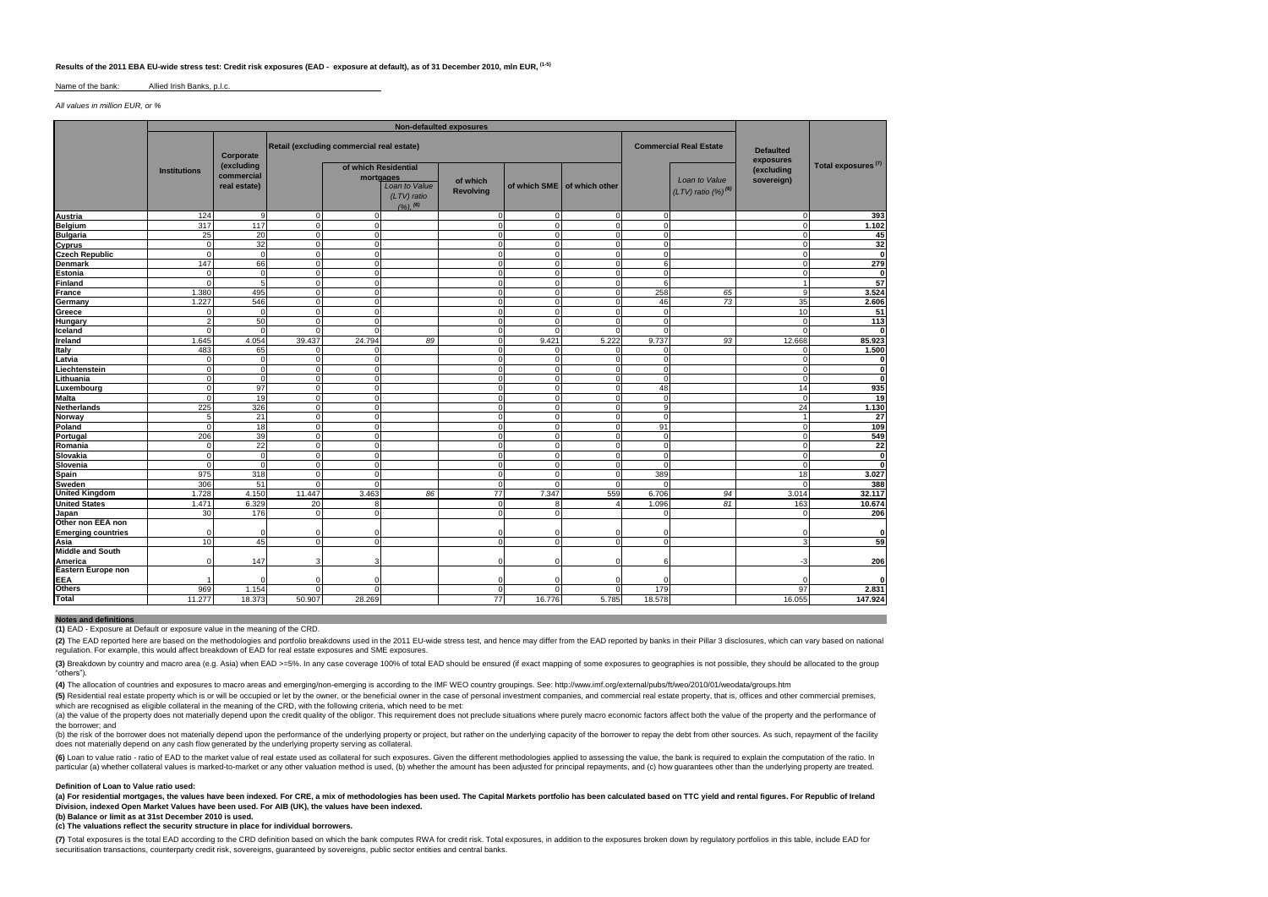### **Results of the 2011 EBA EU-wide stress test: Credit risk exposures (EAD - exposure at default), as of 31 December 2010, mln EUR, (1-5)**

#### Name of the bank: Allied Irish Banks, p.l.c.

*All values in million EUR, or %*

| Retail (excluding commercial real estate)<br><b>Commercial Real Estate</b><br><b>Defaulted</b><br>Corporate<br>exposures<br>Total exposures <sup>(7)</sup><br>(excluding<br>of which Residential<br>(excluding<br><b>Institutions</b><br>commercial<br>mortgages<br>Loan to Value<br>sovereign)<br>of which<br>real estate)<br>Loan to Value<br>of which SME of which other<br>$(LTV)$ ratio $(%)^{(6)}$<br><b>Revolving</b><br>(LTV) ratio<br>$(9/6)$ , $(6)$<br>124<br>9<br>$\mathbf 0$<br>$\mathbf 0$<br>$\mathbf 0$<br>$\mathbf 0$<br>$\Omega$<br>$\Omega$<br>$\mathbf 0$<br>317<br>117<br>$\overline{0}$<br>ō<br>1.102<br>$\mathbf 0$<br>$\mathbf 0$<br>$\Omega$<br>$\Omega$<br>$\Omega$<br>25<br>20<br>$\Omega$<br>$\Omega$<br>$\mathbf 0$<br>$\mathbf 0$<br>$\Omega$<br>O<br>$\Omega$<br>32<br>$\mathbf 0$<br>$\mathbf 0$<br>$\mathbf 0$<br>$\mathbf 0$<br>$\mathbf 0$<br>$\mathbf{0}$<br>$\Omega$<br>0<br>$\mathbf 0$<br>$\mathbf 0$<br>$\mathbf 0$<br>$\mathbf 0$<br>$\Omega$<br>$^{\circ}$<br>$\Omega$<br>O<br>U<br>279<br>147<br>66<br>$\Omega$<br>$\Omega$<br>$\mathbf{0}$<br>6<br>$\Omega$<br>$\Omega$<br>$\mathbf 0$<br>$\Omega$<br>$\mathbf 0$<br>U<br>ŋ<br>57<br>5<br>$\Omega$<br>$\Omega$<br>6<br>$\Omega$<br>$\Omega$<br>$\Omega$<br>O<br>258<br>3.524<br>1.380<br>495<br>$\Omega$<br>$\Omega$<br>$\Omega$<br>65<br>a<br>$\Omega$<br>n<br>1.227<br>546<br>$\Omega$<br>73<br>35<br>2.606<br>$\Omega$<br>$\Omega$<br>46<br>$\Omega$<br>O<br>$\Omega$<br>$\Omega$<br>$\Omega$<br>$\mathbf 0$<br>10<br>$\Omega$<br>$\Omega$<br>$\Omega$<br>$\Omega$<br>113<br>$\overline{2}$<br>50<br>$\Omega$<br>$\Omega$<br>$\mathbf{0}$<br>$\mathbf 0$<br>$\Omega$<br>$\Omega$<br>$\Omega$<br>$\Omega$<br>$\Omega$<br>$\mathbf 0$<br>$\Omega$<br>$\Omega$<br>$\Omega$<br>$\Omega$<br>$\Omega$<br>85.923<br>4.054<br>5.222<br>9.737<br>1.645<br>39.437<br>24.794<br>89<br>$\Omega$<br>9.421<br>93<br>12.668<br>483<br>65<br>$\Omega$<br>$\Omega$<br>$\Omega$<br>$\mathbf 0$<br>$\Omega$<br>$\Omega$<br>$\circ$<br>$\mathbf 0$<br>$\mathbf 0$<br>$\Omega$<br>$\Omega$<br>$\Omega$<br>O<br>$\Omega$<br>$\Omega$<br>$\Omega$<br>$\mathbf 0$<br>$\mathbf 0$<br>$\Omega$<br>$\Omega$<br>$\Omega$<br>$\Omega$<br>U<br>$\circ$<br>$\overline{0}$<br>$\mathbf 0$<br>$\mathbf 0$<br>$\mathbf 0$<br>$\mathbf 0$<br>$\Omega$<br>$\Omega$<br>$\Omega$<br>97<br>$\Omega$<br>$\Omega$<br>48<br>$\Omega$<br>14<br>$\Omega$<br>$\Omega$<br>$\Omega$<br>19<br>$\Omega$<br>$\Omega$<br>$\Omega$<br>$\mathbf 0$<br>$\Omega$<br>$\Omega$<br>$\Omega$<br>$\Omega$<br>225<br>326<br>$\Omega$<br>$\Omega$<br>9<br>24<br>$\Omega$<br>$\Omega$<br>$\Omega$<br>21<br>5 <sup>1</sup><br>$\Omega$<br>$\Omega$<br>$\Omega$<br>$\Omega$<br>$\Omega$<br>$\Omega$<br>18<br>$\mathbf{O}$<br>91<br>$\mathbf 0$<br>$\mathbf 0$<br>$\mathbf 0$<br>$\Omega$<br>$\Omega$<br>$\mathbf 0$<br>39<br>206<br>$\Omega$<br>$\Omega$<br>$\mathbf 0$<br>$\mathbf 0$<br>$\Omega$<br>$\Omega$<br>U<br>22<br>$\Omega$<br>$\Omega$<br>$\Omega$<br>$\mathbf 0$<br>$\Omega$<br>n<br>U<br>n<br>$\Omega$<br>$\Omega$<br>$\mathbf 0$<br>$\mathbf 0$<br>$\Omega$<br>$\Omega$<br>n<br>$\Omega$<br>$\Omega$<br>$\mathbf 0$<br>$\Omega$<br>$\Omega$<br>n<br>975<br>389<br>318<br>$\Omega$<br>$\Omega$<br>$\Omega$<br>18<br>n<br>306<br>51<br>$\Omega$<br>n<br>$\Omega$<br>$\Omega$<br>4.150<br>11.447<br>3.463<br>77<br>7.347<br>559<br>6.706<br>1.728<br>86<br>94<br>3.014<br>20<br>81<br>1.471<br>6.329<br>1.096<br>$\mathbf{R}$<br>163<br>$\mathbf{A}$<br>8<br>$\Omega$<br>30<br>176<br>$\Omega$<br>$\Omega$<br>$\mathbf 0$<br>$\Omega$<br>$\Omega$<br>O<br>C<br>$\Omega$<br>$\Omega$<br>10<br>45<br>$\Omega$<br>$\Omega$<br>$\Omega$<br>$\mathbf 0$<br>$\Omega$<br>$\Omega$<br>3<br>147<br>3<br>$\Omega$<br>$\mathbf 0$<br>6<br>-3<br>$\Omega$<br>$\Omega$<br>$\Omega$<br>$\Omega$<br>r<br>969<br>179<br>2.831<br>1.154<br>97<br>$\Omega$<br>$\Omega$<br>$\Omega$<br>O<br>$\Omega$<br>16.055<br>77<br>16.776 |                           |        |        |        |        |  |       |        |  |              |  |
|------------------------------------------------------------------------------------------------------------------------------------------------------------------------------------------------------------------------------------------------------------------------------------------------------------------------------------------------------------------------------------------------------------------------------------------------------------------------------------------------------------------------------------------------------------------------------------------------------------------------------------------------------------------------------------------------------------------------------------------------------------------------------------------------------------------------------------------------------------------------------------------------------------------------------------------------------------------------------------------------------------------------------------------------------------------------------------------------------------------------------------------------------------------------------------------------------------------------------------------------------------------------------------------------------------------------------------------------------------------------------------------------------------------------------------------------------------------------------------------------------------------------------------------------------------------------------------------------------------------------------------------------------------------------------------------------------------------------------------------------------------------------------------------------------------------------------------------------------------------------------------------------------------------------------------------------------------------------------------------------------------------------------------------------------------------------------------------------------------------------------------------------------------------------------------------------------------------------------------------------------------------------------------------------------------------------------------------------------------------------------------------------------------------------------------------------------------------------------------------------------------------------------------------------------------------------------------------------------------------------------------------------------------------------------------------------------------------------------------------------------------------------------------------------------------------------------------------------------------------------------------------------------------------------------------------------------------------------------------------------------------------------------------------------------------------------------------------------------------------------------------------------------------------------------------------------------------------------------------------------------------------------------------------------------------------------------------------------------------------------------------------------------------------------------------------------------------------------------------------------------------------------------------------------------------------------------------------------------------------------------------------------------------------------------------------------------------------------------------------------------------------------------------------------------------------------------------------------------------------------------------------------------------------------------------------------------|---------------------------|--------|--------|--------|--------|--|-------|--------|--|--------------|--|
|                                                                                                                                                                                                                                                                                                                                                                                                                                                                                                                                                                                                                                                                                                                                                                                                                                                                                                                                                                                                                                                                                                                                                                                                                                                                                                                                                                                                                                                                                                                                                                                                                                                                                                                                                                                                                                                                                                                                                                                                                                                                                                                                                                                                                                                                                                                                                                                                                                                                                                                                                                                                                                                                                                                                                                                                                                                                                                                                                                                                                                                                                                                                                                                                                                                                                                                                                                                                                                                                                                                                                                                                                                                                                                                                                                                                                                                                                                                                                      |                           |        |        |        |        |  |       |        |  |              |  |
|                                                                                                                                                                                                                                                                                                                                                                                                                                                                                                                                                                                                                                                                                                                                                                                                                                                                                                                                                                                                                                                                                                                                                                                                                                                                                                                                                                                                                                                                                                                                                                                                                                                                                                                                                                                                                                                                                                                                                                                                                                                                                                                                                                                                                                                                                                                                                                                                                                                                                                                                                                                                                                                                                                                                                                                                                                                                                                                                                                                                                                                                                                                                                                                                                                                                                                                                                                                                                                                                                                                                                                                                                                                                                                                                                                                                                                                                                                                                                      |                           |        |        |        |        |  |       |        |  |              |  |
|                                                                                                                                                                                                                                                                                                                                                                                                                                                                                                                                                                                                                                                                                                                                                                                                                                                                                                                                                                                                                                                                                                                                                                                                                                                                                                                                                                                                                                                                                                                                                                                                                                                                                                                                                                                                                                                                                                                                                                                                                                                                                                                                                                                                                                                                                                                                                                                                                                                                                                                                                                                                                                                                                                                                                                                                                                                                                                                                                                                                                                                                                                                                                                                                                                                                                                                                                                                                                                                                                                                                                                                                                                                                                                                                                                                                                                                                                                                                                      | Austria                   |        |        |        |        |  |       |        |  | 393          |  |
|                                                                                                                                                                                                                                                                                                                                                                                                                                                                                                                                                                                                                                                                                                                                                                                                                                                                                                                                                                                                                                                                                                                                                                                                                                                                                                                                                                                                                                                                                                                                                                                                                                                                                                                                                                                                                                                                                                                                                                                                                                                                                                                                                                                                                                                                                                                                                                                                                                                                                                                                                                                                                                                                                                                                                                                                                                                                                                                                                                                                                                                                                                                                                                                                                                                                                                                                                                                                                                                                                                                                                                                                                                                                                                                                                                                                                                                                                                                                                      | <b>Belgium</b>            |        |        |        |        |  |       |        |  |              |  |
|                                                                                                                                                                                                                                                                                                                                                                                                                                                                                                                                                                                                                                                                                                                                                                                                                                                                                                                                                                                                                                                                                                                                                                                                                                                                                                                                                                                                                                                                                                                                                                                                                                                                                                                                                                                                                                                                                                                                                                                                                                                                                                                                                                                                                                                                                                                                                                                                                                                                                                                                                                                                                                                                                                                                                                                                                                                                                                                                                                                                                                                                                                                                                                                                                                                                                                                                                                                                                                                                                                                                                                                                                                                                                                                                                                                                                                                                                                                                                      | <b>Bulgaria</b>           |        |        |        |        |  |       |        |  | 45           |  |
|                                                                                                                                                                                                                                                                                                                                                                                                                                                                                                                                                                                                                                                                                                                                                                                                                                                                                                                                                                                                                                                                                                                                                                                                                                                                                                                                                                                                                                                                                                                                                                                                                                                                                                                                                                                                                                                                                                                                                                                                                                                                                                                                                                                                                                                                                                                                                                                                                                                                                                                                                                                                                                                                                                                                                                                                                                                                                                                                                                                                                                                                                                                                                                                                                                                                                                                                                                                                                                                                                                                                                                                                                                                                                                                                                                                                                                                                                                                                                      | Cyprus                    |        |        |        |        |  |       |        |  | 32           |  |
|                                                                                                                                                                                                                                                                                                                                                                                                                                                                                                                                                                                                                                                                                                                                                                                                                                                                                                                                                                                                                                                                                                                                                                                                                                                                                                                                                                                                                                                                                                                                                                                                                                                                                                                                                                                                                                                                                                                                                                                                                                                                                                                                                                                                                                                                                                                                                                                                                                                                                                                                                                                                                                                                                                                                                                                                                                                                                                                                                                                                                                                                                                                                                                                                                                                                                                                                                                                                                                                                                                                                                                                                                                                                                                                                                                                                                                                                                                                                                      | <b>Czech Republic</b>     |        |        |        |        |  |       |        |  | ō            |  |
|                                                                                                                                                                                                                                                                                                                                                                                                                                                                                                                                                                                                                                                                                                                                                                                                                                                                                                                                                                                                                                                                                                                                                                                                                                                                                                                                                                                                                                                                                                                                                                                                                                                                                                                                                                                                                                                                                                                                                                                                                                                                                                                                                                                                                                                                                                                                                                                                                                                                                                                                                                                                                                                                                                                                                                                                                                                                                                                                                                                                                                                                                                                                                                                                                                                                                                                                                                                                                                                                                                                                                                                                                                                                                                                                                                                                                                                                                                                                                      | <b>Denmark</b>            |        |        |        |        |  |       |        |  |              |  |
|                                                                                                                                                                                                                                                                                                                                                                                                                                                                                                                                                                                                                                                                                                                                                                                                                                                                                                                                                                                                                                                                                                                                                                                                                                                                                                                                                                                                                                                                                                                                                                                                                                                                                                                                                                                                                                                                                                                                                                                                                                                                                                                                                                                                                                                                                                                                                                                                                                                                                                                                                                                                                                                                                                                                                                                                                                                                                                                                                                                                                                                                                                                                                                                                                                                                                                                                                                                                                                                                                                                                                                                                                                                                                                                                                                                                                                                                                                                                                      | <b>Estonia</b>            |        |        |        |        |  |       |        |  | $\mathbf 0$  |  |
|                                                                                                                                                                                                                                                                                                                                                                                                                                                                                                                                                                                                                                                                                                                                                                                                                                                                                                                                                                                                                                                                                                                                                                                                                                                                                                                                                                                                                                                                                                                                                                                                                                                                                                                                                                                                                                                                                                                                                                                                                                                                                                                                                                                                                                                                                                                                                                                                                                                                                                                                                                                                                                                                                                                                                                                                                                                                                                                                                                                                                                                                                                                                                                                                                                                                                                                                                                                                                                                                                                                                                                                                                                                                                                                                                                                                                                                                                                                                                      | Finland                   |        |        |        |        |  |       |        |  |              |  |
|                                                                                                                                                                                                                                                                                                                                                                                                                                                                                                                                                                                                                                                                                                                                                                                                                                                                                                                                                                                                                                                                                                                                                                                                                                                                                                                                                                                                                                                                                                                                                                                                                                                                                                                                                                                                                                                                                                                                                                                                                                                                                                                                                                                                                                                                                                                                                                                                                                                                                                                                                                                                                                                                                                                                                                                                                                                                                                                                                                                                                                                                                                                                                                                                                                                                                                                                                                                                                                                                                                                                                                                                                                                                                                                                                                                                                                                                                                                                                      | <b>France</b>             |        |        |        |        |  |       |        |  |              |  |
|                                                                                                                                                                                                                                                                                                                                                                                                                                                                                                                                                                                                                                                                                                                                                                                                                                                                                                                                                                                                                                                                                                                                                                                                                                                                                                                                                                                                                                                                                                                                                                                                                                                                                                                                                                                                                                                                                                                                                                                                                                                                                                                                                                                                                                                                                                                                                                                                                                                                                                                                                                                                                                                                                                                                                                                                                                                                                                                                                                                                                                                                                                                                                                                                                                                                                                                                                                                                                                                                                                                                                                                                                                                                                                                                                                                                                                                                                                                                                      | Germany                   |        |        |        |        |  |       |        |  |              |  |
|                                                                                                                                                                                                                                                                                                                                                                                                                                                                                                                                                                                                                                                                                                                                                                                                                                                                                                                                                                                                                                                                                                                                                                                                                                                                                                                                                                                                                                                                                                                                                                                                                                                                                                                                                                                                                                                                                                                                                                                                                                                                                                                                                                                                                                                                                                                                                                                                                                                                                                                                                                                                                                                                                                                                                                                                                                                                                                                                                                                                                                                                                                                                                                                                                                                                                                                                                                                                                                                                                                                                                                                                                                                                                                                                                                                                                                                                                                                                                      | Greece                    |        |        |        |        |  |       |        |  | 51           |  |
|                                                                                                                                                                                                                                                                                                                                                                                                                                                                                                                                                                                                                                                                                                                                                                                                                                                                                                                                                                                                                                                                                                                                                                                                                                                                                                                                                                                                                                                                                                                                                                                                                                                                                                                                                                                                                                                                                                                                                                                                                                                                                                                                                                                                                                                                                                                                                                                                                                                                                                                                                                                                                                                                                                                                                                                                                                                                                                                                                                                                                                                                                                                                                                                                                                                                                                                                                                                                                                                                                                                                                                                                                                                                                                                                                                                                                                                                                                                                                      | Hungary                   |        |        |        |        |  |       |        |  |              |  |
|                                                                                                                                                                                                                                                                                                                                                                                                                                                                                                                                                                                                                                                                                                                                                                                                                                                                                                                                                                                                                                                                                                                                                                                                                                                                                                                                                                                                                                                                                                                                                                                                                                                                                                                                                                                                                                                                                                                                                                                                                                                                                                                                                                                                                                                                                                                                                                                                                                                                                                                                                                                                                                                                                                                                                                                                                                                                                                                                                                                                                                                                                                                                                                                                                                                                                                                                                                                                                                                                                                                                                                                                                                                                                                                                                                                                                                                                                                                                                      | Iceland                   |        |        |        |        |  |       |        |  | $\bf{0}$     |  |
|                                                                                                                                                                                                                                                                                                                                                                                                                                                                                                                                                                                                                                                                                                                                                                                                                                                                                                                                                                                                                                                                                                                                                                                                                                                                                                                                                                                                                                                                                                                                                                                                                                                                                                                                                                                                                                                                                                                                                                                                                                                                                                                                                                                                                                                                                                                                                                                                                                                                                                                                                                                                                                                                                                                                                                                                                                                                                                                                                                                                                                                                                                                                                                                                                                                                                                                                                                                                                                                                                                                                                                                                                                                                                                                                                                                                                                                                                                                                                      | Ireland                   |        |        |        |        |  |       |        |  |              |  |
|                                                                                                                                                                                                                                                                                                                                                                                                                                                                                                                                                                                                                                                                                                                                                                                                                                                                                                                                                                                                                                                                                                                                                                                                                                                                                                                                                                                                                                                                                                                                                                                                                                                                                                                                                                                                                                                                                                                                                                                                                                                                                                                                                                                                                                                                                                                                                                                                                                                                                                                                                                                                                                                                                                                                                                                                                                                                                                                                                                                                                                                                                                                                                                                                                                                                                                                                                                                                                                                                                                                                                                                                                                                                                                                                                                                                                                                                                                                                                      | Italy                     |        |        |        |        |  |       |        |  | 1.500        |  |
|                                                                                                                                                                                                                                                                                                                                                                                                                                                                                                                                                                                                                                                                                                                                                                                                                                                                                                                                                                                                                                                                                                                                                                                                                                                                                                                                                                                                                                                                                                                                                                                                                                                                                                                                                                                                                                                                                                                                                                                                                                                                                                                                                                                                                                                                                                                                                                                                                                                                                                                                                                                                                                                                                                                                                                                                                                                                                                                                                                                                                                                                                                                                                                                                                                                                                                                                                                                                                                                                                                                                                                                                                                                                                                                                                                                                                                                                                                                                                      | Latvia                    |        |        |        |        |  |       |        |  | 0            |  |
|                                                                                                                                                                                                                                                                                                                                                                                                                                                                                                                                                                                                                                                                                                                                                                                                                                                                                                                                                                                                                                                                                                                                                                                                                                                                                                                                                                                                                                                                                                                                                                                                                                                                                                                                                                                                                                                                                                                                                                                                                                                                                                                                                                                                                                                                                                                                                                                                                                                                                                                                                                                                                                                                                                                                                                                                                                                                                                                                                                                                                                                                                                                                                                                                                                                                                                                                                                                                                                                                                                                                                                                                                                                                                                                                                                                                                                                                                                                                                      | Liechtenstein             |        |        |        |        |  |       |        |  | $\mathbf{0}$ |  |
|                                                                                                                                                                                                                                                                                                                                                                                                                                                                                                                                                                                                                                                                                                                                                                                                                                                                                                                                                                                                                                                                                                                                                                                                                                                                                                                                                                                                                                                                                                                                                                                                                                                                                                                                                                                                                                                                                                                                                                                                                                                                                                                                                                                                                                                                                                                                                                                                                                                                                                                                                                                                                                                                                                                                                                                                                                                                                                                                                                                                                                                                                                                                                                                                                                                                                                                                                                                                                                                                                                                                                                                                                                                                                                                                                                                                                                                                                                                                                      | Lithuania                 |        |        |        |        |  |       |        |  | $\mathbf{0}$ |  |
|                                                                                                                                                                                                                                                                                                                                                                                                                                                                                                                                                                                                                                                                                                                                                                                                                                                                                                                                                                                                                                                                                                                                                                                                                                                                                                                                                                                                                                                                                                                                                                                                                                                                                                                                                                                                                                                                                                                                                                                                                                                                                                                                                                                                                                                                                                                                                                                                                                                                                                                                                                                                                                                                                                                                                                                                                                                                                                                                                                                                                                                                                                                                                                                                                                                                                                                                                                                                                                                                                                                                                                                                                                                                                                                                                                                                                                                                                                                                                      | Luxembourg                |        |        |        |        |  |       |        |  | 935          |  |
|                                                                                                                                                                                                                                                                                                                                                                                                                                                                                                                                                                                                                                                                                                                                                                                                                                                                                                                                                                                                                                                                                                                                                                                                                                                                                                                                                                                                                                                                                                                                                                                                                                                                                                                                                                                                                                                                                                                                                                                                                                                                                                                                                                                                                                                                                                                                                                                                                                                                                                                                                                                                                                                                                                                                                                                                                                                                                                                                                                                                                                                                                                                                                                                                                                                                                                                                                                                                                                                                                                                                                                                                                                                                                                                                                                                                                                                                                                                                                      | <b>Malta</b>              |        |        |        |        |  |       |        |  | 19           |  |
|                                                                                                                                                                                                                                                                                                                                                                                                                                                                                                                                                                                                                                                                                                                                                                                                                                                                                                                                                                                                                                                                                                                                                                                                                                                                                                                                                                                                                                                                                                                                                                                                                                                                                                                                                                                                                                                                                                                                                                                                                                                                                                                                                                                                                                                                                                                                                                                                                                                                                                                                                                                                                                                                                                                                                                                                                                                                                                                                                                                                                                                                                                                                                                                                                                                                                                                                                                                                                                                                                                                                                                                                                                                                                                                                                                                                                                                                                                                                                      | <b>Netherlands</b>        |        |        |        |        |  |       |        |  | 1.130        |  |
|                                                                                                                                                                                                                                                                                                                                                                                                                                                                                                                                                                                                                                                                                                                                                                                                                                                                                                                                                                                                                                                                                                                                                                                                                                                                                                                                                                                                                                                                                                                                                                                                                                                                                                                                                                                                                                                                                                                                                                                                                                                                                                                                                                                                                                                                                                                                                                                                                                                                                                                                                                                                                                                                                                                                                                                                                                                                                                                                                                                                                                                                                                                                                                                                                                                                                                                                                                                                                                                                                                                                                                                                                                                                                                                                                                                                                                                                                                                                                      | Norway                    |        |        |        |        |  |       |        |  | 27           |  |
|                                                                                                                                                                                                                                                                                                                                                                                                                                                                                                                                                                                                                                                                                                                                                                                                                                                                                                                                                                                                                                                                                                                                                                                                                                                                                                                                                                                                                                                                                                                                                                                                                                                                                                                                                                                                                                                                                                                                                                                                                                                                                                                                                                                                                                                                                                                                                                                                                                                                                                                                                                                                                                                                                                                                                                                                                                                                                                                                                                                                                                                                                                                                                                                                                                                                                                                                                                                                                                                                                                                                                                                                                                                                                                                                                                                                                                                                                                                                                      | Poland                    |        |        |        |        |  |       |        |  | 109          |  |
|                                                                                                                                                                                                                                                                                                                                                                                                                                                                                                                                                                                                                                                                                                                                                                                                                                                                                                                                                                                                                                                                                                                                                                                                                                                                                                                                                                                                                                                                                                                                                                                                                                                                                                                                                                                                                                                                                                                                                                                                                                                                                                                                                                                                                                                                                                                                                                                                                                                                                                                                                                                                                                                                                                                                                                                                                                                                                                                                                                                                                                                                                                                                                                                                                                                                                                                                                                                                                                                                                                                                                                                                                                                                                                                                                                                                                                                                                                                                                      | Portugal                  |        |        |        |        |  |       |        |  | 549          |  |
|                                                                                                                                                                                                                                                                                                                                                                                                                                                                                                                                                                                                                                                                                                                                                                                                                                                                                                                                                                                                                                                                                                                                                                                                                                                                                                                                                                                                                                                                                                                                                                                                                                                                                                                                                                                                                                                                                                                                                                                                                                                                                                                                                                                                                                                                                                                                                                                                                                                                                                                                                                                                                                                                                                                                                                                                                                                                                                                                                                                                                                                                                                                                                                                                                                                                                                                                                                                                                                                                                                                                                                                                                                                                                                                                                                                                                                                                                                                                                      | Romania                   |        |        |        |        |  |       |        |  | 22           |  |
|                                                                                                                                                                                                                                                                                                                                                                                                                                                                                                                                                                                                                                                                                                                                                                                                                                                                                                                                                                                                                                                                                                                                                                                                                                                                                                                                                                                                                                                                                                                                                                                                                                                                                                                                                                                                                                                                                                                                                                                                                                                                                                                                                                                                                                                                                                                                                                                                                                                                                                                                                                                                                                                                                                                                                                                                                                                                                                                                                                                                                                                                                                                                                                                                                                                                                                                                                                                                                                                                                                                                                                                                                                                                                                                                                                                                                                                                                                                                                      | Slovakia                  |        |        |        |        |  |       |        |  | $\mathbf 0$  |  |
|                                                                                                                                                                                                                                                                                                                                                                                                                                                                                                                                                                                                                                                                                                                                                                                                                                                                                                                                                                                                                                                                                                                                                                                                                                                                                                                                                                                                                                                                                                                                                                                                                                                                                                                                                                                                                                                                                                                                                                                                                                                                                                                                                                                                                                                                                                                                                                                                                                                                                                                                                                                                                                                                                                                                                                                                                                                                                                                                                                                                                                                                                                                                                                                                                                                                                                                                                                                                                                                                                                                                                                                                                                                                                                                                                                                                                                                                                                                                                      | Slovenia                  |        |        |        |        |  |       |        |  | ō            |  |
|                                                                                                                                                                                                                                                                                                                                                                                                                                                                                                                                                                                                                                                                                                                                                                                                                                                                                                                                                                                                                                                                                                                                                                                                                                                                                                                                                                                                                                                                                                                                                                                                                                                                                                                                                                                                                                                                                                                                                                                                                                                                                                                                                                                                                                                                                                                                                                                                                                                                                                                                                                                                                                                                                                                                                                                                                                                                                                                                                                                                                                                                                                                                                                                                                                                                                                                                                                                                                                                                                                                                                                                                                                                                                                                                                                                                                                                                                                                                                      | Spain                     |        |        |        |        |  |       |        |  | 3.027        |  |
|                                                                                                                                                                                                                                                                                                                                                                                                                                                                                                                                                                                                                                                                                                                                                                                                                                                                                                                                                                                                                                                                                                                                                                                                                                                                                                                                                                                                                                                                                                                                                                                                                                                                                                                                                                                                                                                                                                                                                                                                                                                                                                                                                                                                                                                                                                                                                                                                                                                                                                                                                                                                                                                                                                                                                                                                                                                                                                                                                                                                                                                                                                                                                                                                                                                                                                                                                                                                                                                                                                                                                                                                                                                                                                                                                                                                                                                                                                                                                      | Sweden                    |        |        |        |        |  |       |        |  | 388          |  |
|                                                                                                                                                                                                                                                                                                                                                                                                                                                                                                                                                                                                                                                                                                                                                                                                                                                                                                                                                                                                                                                                                                                                                                                                                                                                                                                                                                                                                                                                                                                                                                                                                                                                                                                                                                                                                                                                                                                                                                                                                                                                                                                                                                                                                                                                                                                                                                                                                                                                                                                                                                                                                                                                                                                                                                                                                                                                                                                                                                                                                                                                                                                                                                                                                                                                                                                                                                                                                                                                                                                                                                                                                                                                                                                                                                                                                                                                                                                                                      | <b>United Kingdom</b>     |        |        |        |        |  |       |        |  | 32.117       |  |
|                                                                                                                                                                                                                                                                                                                                                                                                                                                                                                                                                                                                                                                                                                                                                                                                                                                                                                                                                                                                                                                                                                                                                                                                                                                                                                                                                                                                                                                                                                                                                                                                                                                                                                                                                                                                                                                                                                                                                                                                                                                                                                                                                                                                                                                                                                                                                                                                                                                                                                                                                                                                                                                                                                                                                                                                                                                                                                                                                                                                                                                                                                                                                                                                                                                                                                                                                                                                                                                                                                                                                                                                                                                                                                                                                                                                                                                                                                                                                      | <b>United States</b>      |        |        |        |        |  |       |        |  | 10.674       |  |
|                                                                                                                                                                                                                                                                                                                                                                                                                                                                                                                                                                                                                                                                                                                                                                                                                                                                                                                                                                                                                                                                                                                                                                                                                                                                                                                                                                                                                                                                                                                                                                                                                                                                                                                                                                                                                                                                                                                                                                                                                                                                                                                                                                                                                                                                                                                                                                                                                                                                                                                                                                                                                                                                                                                                                                                                                                                                                                                                                                                                                                                                                                                                                                                                                                                                                                                                                                                                                                                                                                                                                                                                                                                                                                                                                                                                                                                                                                                                                      | Japan                     |        |        |        |        |  |       |        |  | 206          |  |
|                                                                                                                                                                                                                                                                                                                                                                                                                                                                                                                                                                                                                                                                                                                                                                                                                                                                                                                                                                                                                                                                                                                                                                                                                                                                                                                                                                                                                                                                                                                                                                                                                                                                                                                                                                                                                                                                                                                                                                                                                                                                                                                                                                                                                                                                                                                                                                                                                                                                                                                                                                                                                                                                                                                                                                                                                                                                                                                                                                                                                                                                                                                                                                                                                                                                                                                                                                                                                                                                                                                                                                                                                                                                                                                                                                                                                                                                                                                                                      | Other non EEA non         |        |        |        |        |  |       |        |  |              |  |
|                                                                                                                                                                                                                                                                                                                                                                                                                                                                                                                                                                                                                                                                                                                                                                                                                                                                                                                                                                                                                                                                                                                                                                                                                                                                                                                                                                                                                                                                                                                                                                                                                                                                                                                                                                                                                                                                                                                                                                                                                                                                                                                                                                                                                                                                                                                                                                                                                                                                                                                                                                                                                                                                                                                                                                                                                                                                                                                                                                                                                                                                                                                                                                                                                                                                                                                                                                                                                                                                                                                                                                                                                                                                                                                                                                                                                                                                                                                                                      | <b>Emerging countries</b> |        |        |        |        |  |       |        |  | $\mathbf{0}$ |  |
|                                                                                                                                                                                                                                                                                                                                                                                                                                                                                                                                                                                                                                                                                                                                                                                                                                                                                                                                                                                                                                                                                                                                                                                                                                                                                                                                                                                                                                                                                                                                                                                                                                                                                                                                                                                                                                                                                                                                                                                                                                                                                                                                                                                                                                                                                                                                                                                                                                                                                                                                                                                                                                                                                                                                                                                                                                                                                                                                                                                                                                                                                                                                                                                                                                                                                                                                                                                                                                                                                                                                                                                                                                                                                                                                                                                                                                                                                                                                                      | Asia                      |        |        |        |        |  |       |        |  | 59           |  |
|                                                                                                                                                                                                                                                                                                                                                                                                                                                                                                                                                                                                                                                                                                                                                                                                                                                                                                                                                                                                                                                                                                                                                                                                                                                                                                                                                                                                                                                                                                                                                                                                                                                                                                                                                                                                                                                                                                                                                                                                                                                                                                                                                                                                                                                                                                                                                                                                                                                                                                                                                                                                                                                                                                                                                                                                                                                                                                                                                                                                                                                                                                                                                                                                                                                                                                                                                                                                                                                                                                                                                                                                                                                                                                                                                                                                                                                                                                                                                      | <b>Middle and South</b>   |        |        |        |        |  |       |        |  |              |  |
|                                                                                                                                                                                                                                                                                                                                                                                                                                                                                                                                                                                                                                                                                                                                                                                                                                                                                                                                                                                                                                                                                                                                                                                                                                                                                                                                                                                                                                                                                                                                                                                                                                                                                                                                                                                                                                                                                                                                                                                                                                                                                                                                                                                                                                                                                                                                                                                                                                                                                                                                                                                                                                                                                                                                                                                                                                                                                                                                                                                                                                                                                                                                                                                                                                                                                                                                                                                                                                                                                                                                                                                                                                                                                                                                                                                                                                                                                                                                                      | <b>America</b>            |        |        |        |        |  |       |        |  | 206          |  |
|                                                                                                                                                                                                                                                                                                                                                                                                                                                                                                                                                                                                                                                                                                                                                                                                                                                                                                                                                                                                                                                                                                                                                                                                                                                                                                                                                                                                                                                                                                                                                                                                                                                                                                                                                                                                                                                                                                                                                                                                                                                                                                                                                                                                                                                                                                                                                                                                                                                                                                                                                                                                                                                                                                                                                                                                                                                                                                                                                                                                                                                                                                                                                                                                                                                                                                                                                                                                                                                                                                                                                                                                                                                                                                                                                                                                                                                                                                                                                      | Eastern Europe non        |        |        |        |        |  |       |        |  |              |  |
|                                                                                                                                                                                                                                                                                                                                                                                                                                                                                                                                                                                                                                                                                                                                                                                                                                                                                                                                                                                                                                                                                                                                                                                                                                                                                                                                                                                                                                                                                                                                                                                                                                                                                                                                                                                                                                                                                                                                                                                                                                                                                                                                                                                                                                                                                                                                                                                                                                                                                                                                                                                                                                                                                                                                                                                                                                                                                                                                                                                                                                                                                                                                                                                                                                                                                                                                                                                                                                                                                                                                                                                                                                                                                                                                                                                                                                                                                                                                                      | <b>EEA</b>                |        |        |        |        |  |       |        |  |              |  |
|                                                                                                                                                                                                                                                                                                                                                                                                                                                                                                                                                                                                                                                                                                                                                                                                                                                                                                                                                                                                                                                                                                                                                                                                                                                                                                                                                                                                                                                                                                                                                                                                                                                                                                                                                                                                                                                                                                                                                                                                                                                                                                                                                                                                                                                                                                                                                                                                                                                                                                                                                                                                                                                                                                                                                                                                                                                                                                                                                                                                                                                                                                                                                                                                                                                                                                                                                                                                                                                                                                                                                                                                                                                                                                                                                                                                                                                                                                                                                      | <b>Others</b>             |        |        |        |        |  |       |        |  |              |  |
|                                                                                                                                                                                                                                                                                                                                                                                                                                                                                                                                                                                                                                                                                                                                                                                                                                                                                                                                                                                                                                                                                                                                                                                                                                                                                                                                                                                                                                                                                                                                                                                                                                                                                                                                                                                                                                                                                                                                                                                                                                                                                                                                                                                                                                                                                                                                                                                                                                                                                                                                                                                                                                                                                                                                                                                                                                                                                                                                                                                                                                                                                                                                                                                                                                                                                                                                                                                                                                                                                                                                                                                                                                                                                                                                                                                                                                                                                                                                                      | Total                     | 11.277 | 18.373 | 50.907 | 28.269 |  | 5.785 | 18.578 |  | 147.924      |  |

#### **Notes and definitions**

**(1)** EAD - Exposure at Default or exposure value in the meaning of the CRD.

(2) The EAD reported here are based on the methodologies and portfolio breakdowns used in the 2011 EU-wide stress test, and hence may differ from the EAD reported by banks in their Pillar 3 disclosures, which can vary base regulation. For example, this would affect breakdown of EAD for real estate exposures and SME exposures.

(3) Breakdown by country and macro area (e.g. Asia) when EAD >=5%. In any case coverage 100% of total EAD should be ensured (if exact mapping of some exposures to geographies is not possible, they should be allocated to th "others").

**(4)** The allocation of countries and exposures to macro areas and emerging/non-emerging is according to the IMF WEO country groupings. See: http://www.imf.org/external/pubs/ft/weo/2010/01/weodata/groups.htm

(5) Residential real estate property which is or will be occupied or let by the owner, or the beneficial owner in the case of personal investment companies, and commercial real estate property, that is, offices and other c which are recognised as eligible collateral in the meaning of the CRD, with the following criteria, which need to be met:

(a) the value of the property does not materially depend upon the credit quality of the obligor. This requirement does not preclude situations where purely macro economic factors affect both the value of the property and t the borrower; and

(b) the risk of the borrower does not materially depend upon the performance of the underlying property or project, but rather on the underlying capacity of the borrower to repay the debt from other sources. As such, repay does not materially depend on any cash flow generated by the underlying property serving as collateral.

(6) Loan to value ratio - ratio of EAD to the market value of real estate used as collateral for such exposures. Given the different methodologies applied to assessing the value, the bank is required to explain the computa particular (a) whether collateral values is marked-to-market or any other valuation method is used, (b) whether the amount has been adjusted for principal repayments, and (c) how quarantees other than the underlying proper

#### **Definition of Loan to Value ratio used:**

an mucro containt the values have been indexed. For CRE, a mix of methodologies has been used. The Capital Markets portfolio has been calculated based on TTC yield and rental figures. For Republic of Ireland **Division, indexed Open Market Values have been used. For AIB (UK), the values have been indexed.**

#### **(b) Balance or limit as at 31st December 2010 is used. (c) The valuations reflect the security structure in place for individual borrowers.**

(7) Total exposures is the total EAD according to the CRD definition based on which the bank computes RWA for credit risk. Total exposures, in addition to the exposures broken down by requlatory portfolios in this table, i

securitisation transactions, counterparty credit risk, sovereigns, guaranteed by sovereigns, public sector entities and central banks.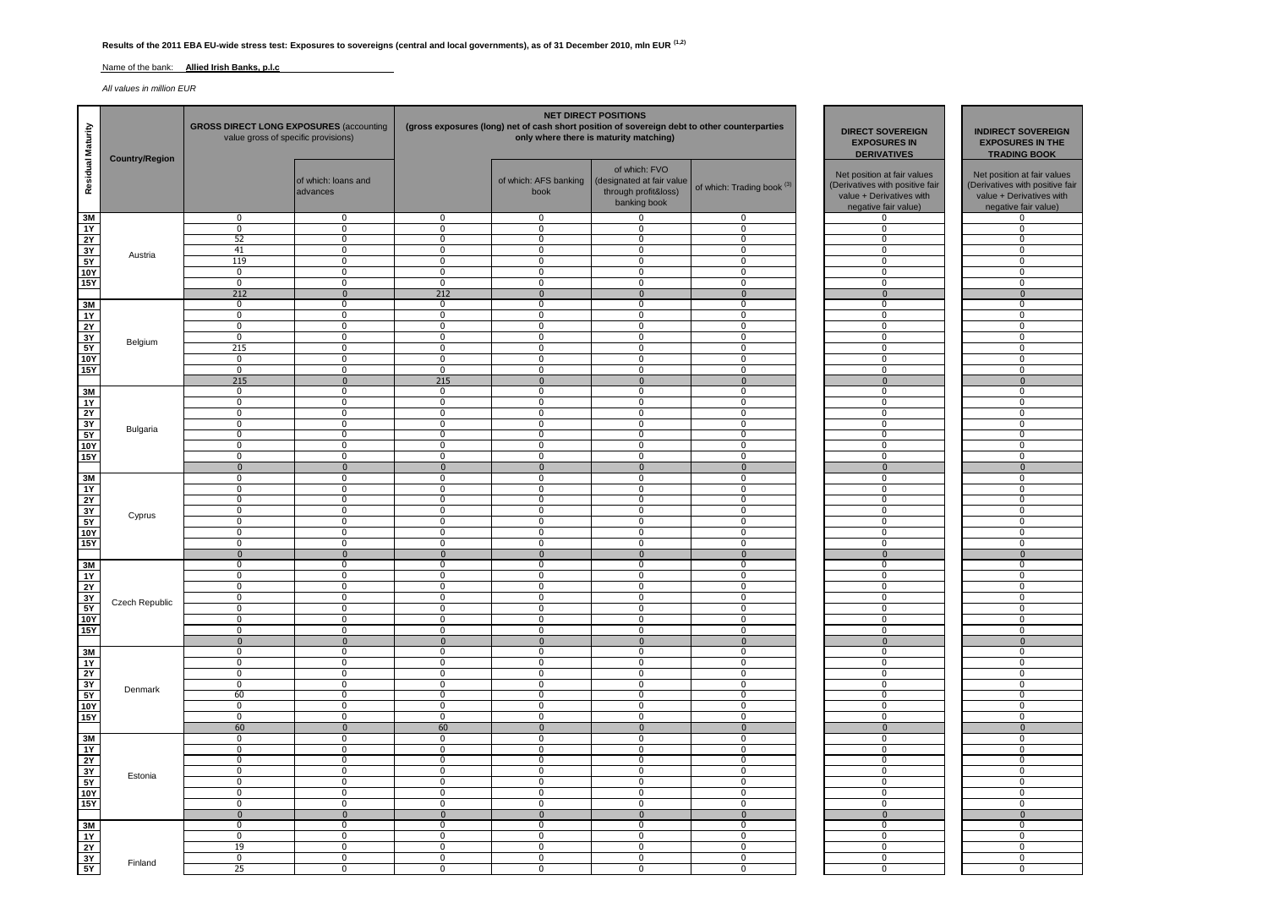## **Results of the 2011 EBA EU-wide stress test: Exposures to sovereigns (central and local governments), as of 31 December 2010, mln EUR (1,2)**

#### Name of the bank: **Allied Irish Banks, p.l.c**

*All values in million EUR*

| Residual Maturity            | <b>Country/Region</b> | <b>GROSS DIRECT LONG EXPOSURES (accounting</b><br>value gross of specific provisions) |                                  |                                |                               | <b>NET DIRECT POSITIONS</b><br>(gross exposures (long) net of cash short position of sovereign debt to other counterparties<br>only where there is maturity matching) | <b>DIRECT SOVEREIGN</b><br><b>EXPOSURES IN</b><br><b>DERIVATIVES</b> | <b>INDIRECT SOVEREIGN</b><br><b>EXPOSURES IN THE</b><br><b>TRADING BOOK</b>                                        |                                                                                                                    |
|------------------------------|-----------------------|---------------------------------------------------------------------------------------|----------------------------------|--------------------------------|-------------------------------|-----------------------------------------------------------------------------------------------------------------------------------------------------------------------|----------------------------------------------------------------------|--------------------------------------------------------------------------------------------------------------------|--------------------------------------------------------------------------------------------------------------------|
|                              |                       |                                                                                       | of which: loans and<br>advances  |                                | of which: AFS banking<br>book | of which: FVO<br>(designated at fair value<br>through profit&loss)<br>banking book                                                                                    | of which: Trading book <sup>(3)</sup>                                | Net position at fair values<br>(Derivatives with positive fair<br>value + Derivatives with<br>negative fair value) | Net position at fair values<br>(Derivatives with positive fair<br>value + Derivatives with<br>negative fair value) |
| 3M                           |                       | $\mathbf 0$                                                                           | $\mathbf 0$                      | 0                              | 0                             | $\Omega$                                                                                                                                                              | 0                                                                    | 0                                                                                                                  | 0                                                                                                                  |
| 1Y                           |                       | $\mathbf 0$                                                                           | $\mathbf 0$                      | 0                              | 0                             | $\mathbf 0$                                                                                                                                                           | 0                                                                    | $\mathbf 0$                                                                                                        | $\mathbf 0$                                                                                                        |
| 2Y<br>3Y                     |                       | 52<br>41                                                                              | 0<br>$\mathbf 0$                 | $\mathbf{0}$<br>$\mathbf 0$    | 0<br>$\mathbf 0$              | $\mathbf 0$<br>$\Omega$                                                                                                                                               | 0<br>$\mathbf 0$                                                     | $\mathbf 0$<br>$\mathbf 0$                                                                                         | 0<br>$\mathbf 0$                                                                                                   |
| 5Y                           | Austria               | 119                                                                                   | $\overline{0}$                   | $\overline{0}$                 | $\mathbf 0$                   | $\mathbf 0$                                                                                                                                                           | $\mathbf{0}$                                                         | $\mathbf 0$                                                                                                        | $\mathbf{0}$                                                                                                       |
| <b>10Y</b>                   |                       | $\overline{0}$                                                                        | $\overline{0}$                   | $\overline{0}$                 | $\overline{0}$                | $\overline{0}$                                                                                                                                                        | $\overline{0}$                                                       | $\overline{0}$                                                                                                     | $\overline{0}$                                                                                                     |
| <b>15Y</b>                   |                       | $\bf{0}$                                                                              | $\overline{0}$                   | $\mathbf 0$                    | $\mathbf 0$                   | $\mathbf 0$                                                                                                                                                           | 0                                                                    | $\bf{0}$                                                                                                           | $\mathbf 0$                                                                                                        |
|                              |                       | 212                                                                                   | $\mathbf{0}$                     | 212                            | $\mathbf{0}$                  | $\mathbf 0$                                                                                                                                                           | $\mathbf{0}$                                                         | $\mathbf 0$                                                                                                        | $\mathbf{0}$                                                                                                       |
| 3M                           |                       | $\overline{0}$                                                                        | $\mathbf{0}$                     | $\mathbf 0$                    | $\mathbf 0$                   | $\mathbf 0$                                                                                                                                                           | $\mathbf{0}$                                                         | $\mathbf 0$                                                                                                        | $\mathbf 0$                                                                                                        |
| $\overline{1Y}$              |                       | $\Omega$                                                                              | $\mathbf{0}$                     | $\mathbf 0$                    | $\mathbf 0$                   | $\Omega$<br>$\Omega$                                                                                                                                                  | $\mathbf 0$                                                          | $\mathbf 0$                                                                                                        | $\mathbf 0$                                                                                                        |
| 2Y<br>3Y                     |                       | 0<br>$\mathbf 0$                                                                      | $\overline{0}$<br>$\mathbf 0$    | $\mathbf 0$<br>0               | 0<br>0                        | $\mathbf 0$                                                                                                                                                           | 0<br>0                                                               | $\mathbf 0$<br>$\mathbf 0$                                                                                         | $\overline{0}$<br>$\mathbf 0$                                                                                      |
| 5Y                           | Belgium               | 215                                                                                   | $\mathbf{0}$                     | $\mathbf 0$                    | $\mathbf 0$                   | $\mathbf 0$                                                                                                                                                           | $\mathbf 0$                                                          | $\mathbf 0$                                                                                                        | $\mathbf 0$                                                                                                        |
| <b>10Y</b>                   |                       | $\mathbf 0$                                                                           | $\mathbf 0$                      | $\overline{0}$                 | 0                             | $\Omega$                                                                                                                                                              | 0                                                                    | $\overline{0}$                                                                                                     | $\overline{0}$                                                                                                     |
| 15Y                          |                       | $\overline{0}$                                                                        | $\overline{0}$                   | $\overline{0}$                 | $\overline{0}$                | $\overline{0}$                                                                                                                                                        | $\overline{0}$                                                       | $\overline{0}$                                                                                                     | $\overline{0}$                                                                                                     |
|                              |                       | 215                                                                                   | $\Omega$                         | 215                            | $\mathbf{0}$                  | $\mathbf{0}$                                                                                                                                                          | $\mathbf{0}$                                                         | $\mathbf{0}$                                                                                                       | $\mathbf{0}$                                                                                                       |
| 3M                           |                       | $\mathbf 0$                                                                           | $\mathbf 0$                      | 0                              | 0                             | 0                                                                                                                                                                     | $\mathbf 0$                                                          | $\mathbf 0$                                                                                                        | $\mathbf 0$                                                                                                        |
| 1Y                           |                       | $\overline{0}$                                                                        | $\overline{0}$                   | $\mathbf 0$                    | $\overline{0}$                | $\overline{0}$                                                                                                                                                        | $\mathbf 0$                                                          | 0                                                                                                                  | $\overline{0}$                                                                                                     |
| 2Y<br>3Y                     |                       | $\overline{0}$<br>$\mathbf 0$                                                         | $\overline{0}$<br>$\pmb{0}$      | $\overline{0}$<br>$\mathbf{0}$ | $\overline{0}$<br>0           | $\overline{0}$<br>$\Omega$                                                                                                                                            | $\mathbf 0$<br>$\ddot{\mathbf{0}}$                                   | $\overline{0}$<br>$\mathbf 0$                                                                                      | $\overline{0}$<br>$\mathbf 0$                                                                                      |
| 5Y                           | Bulgaria              | $\mathbf 0$                                                                           | $\mathbf 0$                      | 0                              | 0                             | $\mathbf 0$                                                                                                                                                           | 0                                                                    | $\mathbf 0$                                                                                                        | $\mathbf 0$                                                                                                        |
| 10Y                          |                       | $\overline{0}$                                                                        | $\overline{0}$                   | $\overline{0}$                 | $\overline{0}$                | $\overline{0}$                                                                                                                                                        | $\overline{0}$                                                       | $\overline{0}$                                                                                                     | $\overline{0}$                                                                                                     |
| <b>15Y</b>                   |                       | $\mathbf 0$                                                                           | $\mathbf{0}$                     | $\Omega$                       | $\mathbf 0$                   | $\Omega$                                                                                                                                                              | $\mathbf{0}$                                                         | 0                                                                                                                  | $\mathbf 0$                                                                                                        |
|                              |                       | $\mathbf 0$                                                                           | $\mathbf 0$                      | $\mathbf 0$                    | $\mathbf{0}$                  | $\mathbf{0}$                                                                                                                                                          | $\mathbf{0}$                                                         | $\mathbf{0}$                                                                                                       | $\mathbf 0$                                                                                                        |
| 3M                           |                       | 0                                                                                     | $\overline{0}$                   | 0                              | 0                             | 0                                                                                                                                                                     | 0                                                                    | 0                                                                                                                  | 0                                                                                                                  |
| <b>1Y</b>                    |                       | $\mathbf 0$                                                                           | $\mathbf{0}$                     | $\mathbf 0$                    | $\mathbf 0$                   | $\mathbf 0$                                                                                                                                                           | $\mathbf 0$                                                          | $\mathbf 0$                                                                                                        | $\mathbf{0}$                                                                                                       |
| 2Y<br>3Y                     |                       | $\mathbf 0$<br>$\mathbf 0$                                                            | $\mathbf 0$<br>$\overline{0}$    | $\mathbf 0$<br>$\overline{0}$  | $\mathbf 0$<br>0              | $\mathbf 0$<br>$\overline{0}$                                                                                                                                         | $\mathbf 0$<br>0                                                     | 0<br>$\mathbf 0$                                                                                                   | $\mathbf 0$<br>$\overline{0}$                                                                                      |
| 5Y                           | Cyprus                | 0                                                                                     | 0                                | 0                              | 0                             | $\mathbf 0$                                                                                                                                                           | 0                                                                    | 0                                                                                                                  | $\mathbf 0$                                                                                                        |
| 10Y                          |                       | $\mathbf 0$                                                                           | $\mathbf 0$                      | 0                              | 0                             | 0                                                                                                                                                                     | 0                                                                    | $\mathbf 0$                                                                                                        | $\mathbf 0$                                                                                                        |
| 15Y                          |                       | $\overline{0}$                                                                        | $\overline{0}$                   | $\overline{0}$                 | $\overline{0}$                | $\overline{0}$                                                                                                                                                        | $\mathbf{0}$                                                         | $\overline{0}$                                                                                                     | $\overline{0}$                                                                                                     |
|                              |                       | $\overline{0}$                                                                        | $\overline{0}$                   | $\overline{0}$                 | $\overline{0}$                | $\overline{0}$                                                                                                                                                        | $\overline{0}$                                                       | $\overline{0}$                                                                                                     | $\overline{0}$                                                                                                     |
| 3M                           |                       | $\mathbf 0$                                                                           | $\pmb{0}$                        | $\mathbf{0}$                   | $\mathbf 0$                   | $\mathbf 0$                                                                                                                                                           | $\mathbf 0$                                                          | $\bf{0}$                                                                                                           | $\bf{0}$                                                                                                           |
| <b>1Y</b>                    |                       | $\mathbf 0$                                                                           | $\pmb{0}$                        | 0                              | 0                             | $\mathbf 0$                                                                                                                                                           | $\mathbf 0$                                                          | $\bf{0}$                                                                                                           | $\mathbf 0$                                                                                                        |
| 2Y                           |                       | $\overline{0}$<br>$\mathbf 0$                                                         | $\overline{0}$<br>$\mathbf 0$    | $\overline{0}$<br>$\Omega$     | $\overline{0}$<br>$\mathbf 0$ | $\overline{0}$<br>$\Omega$                                                                                                                                            | $\mathbf 0$<br>$\mathbf 0$                                           | $\overline{0}$<br>$\mathbf 0$                                                                                      | $\overline{0}$<br>$\mathbf 0$                                                                                      |
| 3Y<br>5Y                     | Czech Republic        | $\mathbf 0$                                                                           | $\overline{0}$                   | $\mathbf 0$                    | $\mathbf 0$                   | $\mathbf 0$                                                                                                                                                           | 0                                                                    | $\mathbf 0$                                                                                                        | $\overline{0}$                                                                                                     |
| <b>10Y</b>                   |                       | 0                                                                                     | $\overline{0}$                   | 0                              | 0                             | $\mathbf 0$                                                                                                                                                           | 0                                                                    | $\mathbf 0$                                                                                                        | $\mathbf 0$                                                                                                        |
| <b>15Y</b>                   |                       | $\mathbf 0$                                                                           | 0                                | $\mathbf{0}$                   | $\mathbf 0$                   | $\mathbf 0$                                                                                                                                                           | $\mathbf 0$                                                          | $\mathbf 0$                                                                                                        | 0                                                                                                                  |
|                              |                       | $\bf{0}$                                                                              | $\overline{0}$                   | $\overline{0}$                 | $\mathbf{0}$                  | $\mathbf{0}$                                                                                                                                                          | $\overline{0}$                                                       | $\overline{0}$                                                                                                     | $\overline{0}$                                                                                                     |
| 3M                           |                       | $\overline{0}$                                                                        | $\overline{0}$                   | $\overline{0}$                 | $\overline{0}$                | $\overline{0}$                                                                                                                                                        | $\overline{0}$                                                       | $\overline{0}$                                                                                                     | $\overline{0}$                                                                                                     |
| <b>1Y</b>                    |                       | $\mathbf 0$<br>0                                                                      | $\overline{0}$<br>$\mathbf 0$    | 0                              | 0                             | $\mathbf 0$<br>$\mathbf 0$                                                                                                                                            | $\mathbf 0$                                                          | $\mathbf 0$<br>$\mathbf 0$                                                                                         | 0                                                                                                                  |
| <b>2Y</b><br>3Y              |                       | $\mathbf 0$                                                                           | $\overline{0}$                   | 0<br>$\overline{0}$            | 0<br>$\mathbf 0$              | $\overline{0}$                                                                                                                                                        | 0<br>$\mathbf 0$                                                     | $\Omega$                                                                                                           | 0<br>$\overline{0}$                                                                                                |
| 5Y                           | Denmark               | 60                                                                                    | $\mathbf 0$                      | $\mathbf 0$                    | $\mathbf 0$                   | $\mathbf 0$                                                                                                                                                           | 0                                                                    | $\mathbf 0$                                                                                                        | $\mathbf 0$                                                                                                        |
| 10Y                          |                       | $\mathbf 0$                                                                           | $\mathbf 0$                      | $\mathbf 0$                    | 0                             | $\Omega$                                                                                                                                                              | 0                                                                    | $\mathbf 0$                                                                                                        | $\mathbf 0$                                                                                                        |
| <b>15Y</b>                   |                       | 0                                                                                     | $\mathbf 0$                      | $\mathbf 0$                    | 0                             | $\Omega$                                                                                                                                                              | $\mathbf 0$                                                          | $\mathbf 0$                                                                                                        | $\mathbf 0$                                                                                                        |
|                              |                       | 60                                                                                    | $\mathbf{0}$                     | 60                             | $\mathbf{0}$                  | $\mathbf{0}$                                                                                                                                                          | $\mathbf{0}$                                                         | $\mathbf{0}$                                                                                                       | $\overline{0}$                                                                                                     |
| 3M                           |                       | $\mathbf 0$                                                                           | $\mathbf{0}$                     | $\mathbf 0$                    | $\mathbf 0$                   | $\Omega$                                                                                                                                                              | $\mathbf{0}$                                                         | 0                                                                                                                  | 0                                                                                                                  |
| $\overline{1Y}$<br><b>2Y</b> |                       | $\overline{0}$<br>$\mathbf 0$                                                         | $\overline{0}$<br>$\overline{0}$ | $\overline{0}$<br>0            | $\overline{0}$<br>0           | $\mathbf 0$<br>$\mathbf 0$                                                                                                                                            | $\overline{0}$<br>$\mathbf 0$                                        | $\overline{0}$<br>$\mathbf 0$                                                                                      | $\overline{0}$<br>$\mathbf 0$                                                                                      |
| 3Y                           |                       | 0                                                                                     | 0                                | 0                              | $\mathbf 0$                   | $\mathbf 0$                                                                                                                                                           | 0                                                                    | 0                                                                                                                  | 0                                                                                                                  |
| 5Y                           | Estonia               | $\overline{0}$                                                                        | $\overline{0}$                   | $\overline{0}$                 | $\overline{0}$                | $\overline{0}$                                                                                                                                                        | $\overline{0}$                                                       | $\overline{0}$                                                                                                     | $\overline{0}$                                                                                                     |
| <b>10Y</b>                   |                       | $\overline{0}$                                                                        | $\overline{0}$                   | $\mathbf 0$                    | $\overline{0}$                | $\overline{0}$                                                                                                                                                        | 0                                                                    | $\overline{0}$                                                                                                     | $\overline{0}$                                                                                                     |
| 15Y                          |                       | $\mathbf 0$                                                                           | $\overline{0}$                   | $\mathbf{0}$                   | $\mathbf 0$                   | $\mathbf 0$                                                                                                                                                           | $\mathbf 0$                                                          | $\mathbf 0$                                                                                                        | $\mathbf 0$                                                                                                        |
|                              |                       | $\mathbf{0}$                                                                          | $\mathbf{0}$                     | $\mathbf 0$                    | $\mathbf{0}$                  | $\Omega$                                                                                                                                                              | $\mathbf{0}$                                                         | $\mathbf{0}$                                                                                                       | $\mathbf{0}$                                                                                                       |
| 3M                           |                       | $\mathbf 0$                                                                           | $\mathbf 0$                      | 0                              | 0                             | 0                                                                                                                                                                     | 0                                                                    | $\mathbf 0$                                                                                                        | $\mathbf 0$                                                                                                        |
| 1Y                           |                       | $\mathbf 0$                                                                           | $\mathbf{0}$                     | $\mathbf 0$                    | $\mathbf 0$                   | $\Omega$                                                                                                                                                              | $\mathbf 0$                                                          | 0                                                                                                                  | $\mathbf 0$                                                                                                        |
| 2Y<br>3Y                     |                       | 19<br>$\mathbf 0$                                                                     | $\overline{0}$<br>$\overline{0}$ | 0<br>0                         | 0<br>0                        | $\mathbf 0$<br>$\mathbf 0$                                                                                                                                            | $\overline{0}$<br>0                                                  | $\overline{0}$<br>$\mathbf 0$                                                                                      | $\overline{0}$<br>$\mathbf 0$                                                                                      |
| 5Y                           | Finland               | 25                                                                                    | $\overline{0}$                   | 0                              | $\mathbf 0$                   | $\mathbf{0}$                                                                                                                                                          | 0                                                                    | $\overline{0}$                                                                                                     | $\mathbf 0$                                                                                                        |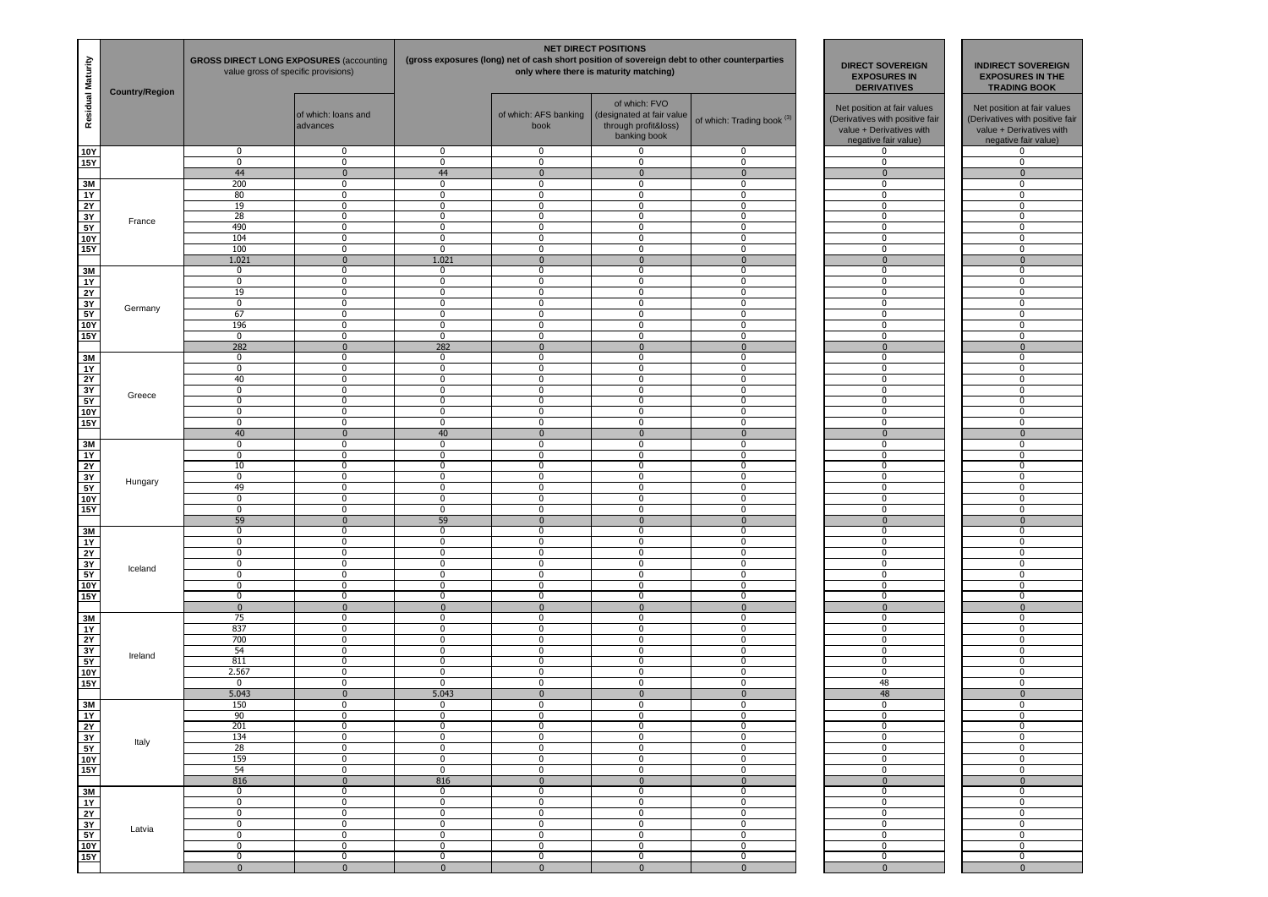| Residual Maturity        | <b>Country/Region</b> | <b>GROSS DIRECT LONG EXPOSURES (accounting)</b><br>value gross of specific provisions) |                   | <b>DIRECT SOVEREIGN</b><br><b>EXPOSURES IN</b><br><b>DERIVATIVES</b> |                                                            | <b>INDIRECT SOVEREIGN</b><br><b>EXPOSURES IN THE</b><br><b>TRADING BOOK</b> |                                       |                                                                                                                    |  |                                                                                                                    |
|--------------------------|-----------------------|----------------------------------------------------------------------------------------|-------------------|----------------------------------------------------------------------|------------------------------------------------------------|-----------------------------------------------------------------------------|---------------------------------------|--------------------------------------------------------------------------------------------------------------------|--|--------------------------------------------------------------------------------------------------------------------|
|                          |                       | of which: loans and<br>advances                                                        |                   |                                                                      | of which: AFS banking<br>(designated at fair value<br>book |                                                                             | of which: Trading book <sup>(3)</sup> | Net position at fair values<br>(Derivatives with positive fair<br>value + Derivatives with<br>negative fair value) |  | Net position at fair values<br>(Derivatives with positive fair<br>value + Derivatives with<br>negative fair value) |
| <b>10Y</b><br><b>15Y</b> |                       | $\mathbf 0$<br>$\overline{0}$                                                          | $\mathbf{0}$<br>0 | $\mathbf 0$<br>$\mathbf 0$                                           | 0<br>0                                                     | $\mathbf 0$<br>0                                                            | 0<br>$\mathbf 0$                      | 0<br>$\mathbf 0$                                                                                                   |  | 0<br>$\mathbf 0$                                                                                                   |
|                          |                       | 44                                                                                     | $\mathbf 0$       | 44                                                                   | $\mathbf{0}$                                               | $\mathbf{0}$                                                                | $\mathbf{0}$                          | $\mathbf{0}$                                                                                                       |  | $\mathbf 0$                                                                                                        |
| 3M                       |                       | 200                                                                                    | 0                 | $\mathbf 0$                                                          | 0                                                          | $\Omega$                                                                    | 0                                     | 0                                                                                                                  |  | 0                                                                                                                  |
| $\overline{1Y}$          |                       | 80                                                                                     | 0                 | $\mathbf 0$                                                          | $\mathbf 0$                                                | $\mathbf 0$                                                                 | $\mathbf{0}$                          | 0                                                                                                                  |  | $\mathbf 0$                                                                                                        |
| 2Y<br>3Y                 |                       | 19<br>28                                                                               | 0<br>0            | $\mathbf 0$<br>$\mathbf 0$                                           | 0<br>0                                                     | $\mathbf 0$<br>0                                                            | 0<br>$\mathbf 0$                      | 0<br>$\mathbf 0$                                                                                                   |  | $^{\circ}$<br>0                                                                                                    |
| 5Y                       | France                | 490                                                                                    | 0                 | $\mathbf 0$                                                          | $\mathbf 0$                                                | $\mathbf 0$                                                                 | $\mathbf 0$                           | $\mathbf 0$                                                                                                        |  | 0                                                                                                                  |
| 10Y                      |                       | 104                                                                                    | $\overline{0}$    | $\overline{0}$                                                       | $\overline{0}$                                             | $\overline{0}$                                                              | $\overline{0}$                        | $\overline{0}$                                                                                                     |  |                                                                                                                    |
| 15Y                      |                       | 100                                                                                    | $\mathbf{0}$      | $\mathbf 0$                                                          | $\mathbf 0$                                                | $\mathbf 0$                                                                 | $\mathbf{0}$                          | 0                                                                                                                  |  | $\mathbf 0$                                                                                                        |
|                          |                       | 1.021<br>$\mathbf 0$                                                                   | $\mathbf 0$       | 1.021                                                                | $\mathbf 0$                                                | $\mathbf{0}$<br>0                                                           | $\mathbf{0}$<br>$\mathbf 0$           | $\overline{0}$                                                                                                     |  | $\mathbf{0}$                                                                                                       |
| 3M<br>$\overline{1Y}$    |                       | $\mathbf 0$                                                                            | 0<br>0            | 0<br>$\mathbf 0$                                                     | 0<br>$\mathbf 0$                                           | 0                                                                           | $\mathbf 0$                           | 0<br>0                                                                                                             |  | 0<br>0                                                                                                             |
| 2Y                       |                       | 19                                                                                     | 0                 | $\mathbf 0$                                                          | $\mathbf 0$                                                | 0                                                                           | $\mathbf 0$                           | $\mathbf 0$                                                                                                        |  | $\mathbf 0$                                                                                                        |
| 3Y                       | Germany               | $\mathbf 0$                                                                            | 0                 | $\mathbf 0$                                                          | $\mathbf 0$                                                | $\mathbf 0$                                                                 | $\mathbf{0}$                          | 0                                                                                                                  |  | $\mathbf 0$                                                                                                        |
| $\frac{1}{5Y}$           |                       | 67                                                                                     | 0                 | $\mathbf 0$                                                          | 0                                                          | $\mathbf 0$                                                                 | 0                                     | 0                                                                                                                  |  | $^{\circ}$                                                                                                         |
| <b>10Y</b><br><b>15Y</b> |                       | 196<br>$\overline{0}$                                                                  | 0<br>0            | 0<br>0                                                               | 0<br>$\overline{0}$                                        | 0<br>$\overline{0}$                                                         | $\mathbf 0$<br>$\overline{0}$         | 0<br>$\overline{0}$                                                                                                |  | $\mathbf 0$<br>0                                                                                                   |
|                          |                       | 282                                                                                    | $\mathbf 0$       | 282                                                                  | $\mathbf{0}$                                               | $\mathbf 0$                                                                 | $\Omega$                              | $\mathbf{0}$                                                                                                       |  | $\mathbf 0$                                                                                                        |
| 3M                       |                       | $\mathbf 0$                                                                            | $\mathbf{0}$      | $\mathbf 0$                                                          | $\mathbf 0$                                                | $\mathbf 0$                                                                 | $\mathbf{0}$                          | $\mathbf 0$                                                                                                        |  | $\mathbf{0}$                                                                                                       |
| 1Y                       |                       | $\mathbf 0$                                                                            | 0                 | $\mathbf 0$                                                          | 0                                                          | 0                                                                           | 0                                     | 0                                                                                                                  |  | $^{\circ}$                                                                                                         |
| 2Y                       |                       | 40                                                                                     | 0                 | 0                                                                    | 0                                                          | 0                                                                           | $\mathbf 0$                           | $\mathbf 0$                                                                                                        |  | $\mathbf 0$                                                                                                        |
| 3Y                       | Greece                | $\overline{0}$                                                                         | 0                 | 0                                                                    | 0                                                          | $\overline{0}$                                                              | 0                                     | 0                                                                                                                  |  | 0                                                                                                                  |
| 5Y<br>10Y                |                       | $\mathbf 0$<br>$\mathbf 0$                                                             | 0<br>0            | $\mathbf 0$<br>$\mathbf 0$                                           | $\mathbf 0$<br>$\mathbf 0$                                 | 0<br>$\mathbf 0$                                                            | $\mathbf 0$<br>$\mathbf 0$            | $\mathbf 0$<br>$\mathbf 0$                                                                                         |  | $\mathbf 0$<br>$\mathbf 0$                                                                                         |
| 15Y                      |                       | $\mathbf 0$                                                                            | 0                 | $\mathbf 0$                                                          | 0                                                          | $\mathbf 0$                                                                 | 0                                     | 0                                                                                                                  |  | $^{\circ}$                                                                                                         |
|                          |                       | 40                                                                                     | $\mathbf 0$       | 40                                                                   | $\bf{0}$                                                   | $\mathbf{0}$                                                                | $\mathbf{0}$                          | $\mathbf 0$                                                                                                        |  | $\mathbf 0$                                                                                                        |
| 3M                       |                       | $\mathbf 0$                                                                            | 0                 | 0                                                                    | 0                                                          | 0                                                                           | 0                                     | 0                                                                                                                  |  | $\mathbf 0$                                                                                                        |
| $\overline{1Y}$          |                       | $\mathbf 0$                                                                            | 0                 | $\mathbf 0$                                                          | $\mathbf 0$                                                | 0                                                                           | $\mathbf 0$                           | $\mathbf 0$                                                                                                        |  | $\mathbf 0$                                                                                                        |
| 2Y<br>$\frac{1}{3Y}$     |                       | 10<br>$\mathbf 0$                                                                      | $\mathbf{0}$<br>0 | $\mathbf 0$<br>$\mathbf 0$                                           | $\mathbf 0$<br>0                                           | $\mathbf 0$<br>$\mathbf 0$                                                  | $\mathbf{0}$<br>0                     | 0<br>0                                                                                                             |  | $\mathbf 0$<br>$^{\circ}$                                                                                          |
| 5Y                       | Hungary               | 49                                                                                     | 0                 | $\mathbf 0$                                                          | 0                                                          | $\overline{0}$                                                              | 0                                     | 0                                                                                                                  |  | 0                                                                                                                  |
| <b>10Y</b>               |                       | $\overline{0}$                                                                         | 0                 | 0                                                                    | 0                                                          | $\mathbf 0$                                                                 | $\mathbf 0$                           | 0                                                                                                                  |  | 0                                                                                                                  |
| 15Y                      |                       | $\mathbf 0$                                                                            | 0                 | $\mathbf 0$                                                          | $\pmb{0}$                                                  | 0                                                                           | $\mathbf 0$                           | $\mathbf 0$                                                                                                        |  | $\mathbf 0$                                                                                                        |
|                          |                       | 59                                                                                     | $\mathbf 0$       | 59                                                                   | $\mathbf 0$                                                | $\mathbf 0$                                                                 | $\overline{0}$                        | $\mathbf{0}$                                                                                                       |  | $\mathbf 0$                                                                                                        |
| 3M<br>1Y                 |                       | $\mathbf 0$<br>$\overline{0}$                                                          | 0<br>0            | $\mathbf 0$<br>0                                                     | 0<br>0                                                     | $\mathbf 0$<br>$\overline{0}$                                               | 0<br>0                                | 0<br>0                                                                                                             |  | $^{\circ}$<br>0                                                                                                    |
| 2Y                       |                       | $\mathbf 0$                                                                            | 0                 | $\mathbf 0$                                                          | 0                                                          | $\mathbf 0$                                                                 | $\mathbf 0$                           | 0                                                                                                                  |  | 0                                                                                                                  |
| $\frac{3Y}{5Y}$          |                       | $\mathbf 0$                                                                            | 0                 | $\mathbf 0$                                                          | $\mathbf 0$                                                | 0                                                                           | $\mathbf 0$                           | $\mathbf 0$                                                                                                        |  | $\mathbf 0$                                                                                                        |
|                          | Iceland               | $\mathbf 0$                                                                            | $\mathbf{0}$      | $\mathbf 0$                                                          | $\mathbf 0$                                                | $\mathbf 0$                                                                 | $\mathbf 0$                           | 0                                                                                                                  |  | $\mathbf 0$                                                                                                        |
| <b>10Y</b>               |                       | $\mathbf 0$                                                                            | 0                 | $\mathbf 0$                                                          | 0                                                          | $\mathbf 0$                                                                 | 0                                     | 0                                                                                                                  |  | $^{\circ}$                                                                                                         |
| 15Y                      |                       | $\mathbf 0$<br>$\mathbf{0}$                                                            | 0<br>$\mathbf{0}$ | $\mathbf 0$<br>$\mathbf{0}$                                          | 0<br>$\mathbf{0}$                                          | $\mathbf 0$<br>$\mathbf{0}$                                                 | 0<br>$\mathbf{0}$                     | $\mathbf 0$<br>$\mathbf{0}$                                                                                        |  | $\mathbf 0$<br>$\mathbf 0$                                                                                         |
| 3M                       |                       | 75                                                                                     | 0                 | $\mathbf 0$                                                          | 0                                                          | 0                                                                           | $\mathbf 0$                           | $\mathbf 0$                                                                                                        |  | $\mathbf 0$                                                                                                        |
| <b>1Y</b>                |                       | 837                                                                                    | 0                 | $\mathbf 0$                                                          | $\mathbf 0$                                                | $\mathbf 0$                                                                 | $\mathbf 0$                           | 0                                                                                                                  |  | $\mathbf 0$                                                                                                        |
| 2Y                       |                       | 700                                                                                    | 0                 | $\mathbf 0$                                                          | 0                                                          | $\mathbf 0$                                                                 | 0                                     | 0                                                                                                                  |  | $\mathbf{0}$                                                                                                       |
| 3Y                       | Ireland               | 54                                                                                     | 0                 | $\mathbf 0$                                                          | 0                                                          | $\mathbf 0$                                                                 | 0                                     | 0                                                                                                                  |  | $\mathbf 0$                                                                                                        |
| 5Y<br>10Y                |                       | 811<br>2.567                                                                           | 0<br>0            | $\mathbf 0$<br>$\mathbf 0$                                           | 0<br>$\mathbf 0$                                           | 0<br>0                                                                      | 0<br>$\mathbf 0$                      | 0<br>$\mathbf 0$                                                                                                   |  | $\mathbf 0$<br>$\mathbf 0$                                                                                         |
| <b>15Y</b>               |                       | $\mathbf 0$                                                                            | 0                 | $\mathbf 0$                                                          | 0                                                          | $\mathbf 0$                                                                 | $\mathbf 0$                           | 48                                                                                                                 |  | $\mathbf 0$                                                                                                        |
|                          |                       | 5.043                                                                                  | $\mathbf{0}$      | 5.043                                                                | $\mathbf 0$                                                | $\mathbf 0$                                                                 | $\mathbf{0}$                          | 48                                                                                                                 |  | $\mathbf{0}$                                                                                                       |
| 3M                       |                       | 150                                                                                    | $\mathbf{0}$      | $\mathbf{0}$                                                         | 0                                                          | $\mathbf 0$                                                                 | 0                                     | 0                                                                                                                  |  | $\mathbf{0}$                                                                                                       |
| $\frac{1Y}{2Y}$          |                       | 90                                                                                     | 0                 | 0                                                                    | 0                                                          | 0                                                                           | 0                                     | 0                                                                                                                  |  | 0                                                                                                                  |
| 3Y                       |                       | 201<br>134                                                                             | 0<br>0            | $\bf{0}$<br>$\mathbf 0$                                              | $\pmb{0}$<br>$\mathbf 0$                                   | 0<br>0                                                                      | $\mathbf 0$<br>$\mathbf 0$            | $\pmb{0}$<br>$\mathbf 0$                                                                                           |  | $\pmb{0}$<br>$\bf{0}$                                                                                              |
| $rac{1}{5Y}$             | Italy                 | 28                                                                                     | 0                 | 0                                                                    | $\mathbf 0$                                                | 0                                                                           | $\mathbf 0$                           | $\overline{0}$                                                                                                     |  | $\mathbf 0$                                                                                                        |
| <b>10Y</b>               |                       | 159                                                                                    | 0                 | 0                                                                    | 0                                                          | 0                                                                           | $\bf{0}$                              | $\bf{0}$                                                                                                           |  | $\bf{0}$                                                                                                           |
| 15Y                      |                       | 54                                                                                     | 0                 | 0                                                                    | $\mathbf 0$                                                | 0                                                                           | $\overline{\mathbf{0}}$               | $\mathbf 0$                                                                                                        |  | $\mathbf 0$                                                                                                        |
|                          |                       | 816                                                                                    | $\bf{0}$          | 816                                                                  | $\bf{0}$                                                   | $\bf{0}$                                                                    | $\bf{0}$                              | $\mathbf{0}$                                                                                                       |  | $\bf{0}$                                                                                                           |
| 3M                       |                       | $\bf{0}$                                                                               | 0                 | 0                                                                    | $\pmb{0}$                                                  | 0                                                                           | $\mathbf 0$                           | 0                                                                                                                  |  | $\pmb{0}$                                                                                                          |
| 1Y<br>2Y                 |                       | $\bf{0}$<br>$\overline{0}$                                                             | 0<br>0            | $\bf{0}$<br>0                                                        | $\mathbf 0$<br>0                                           | 0<br>0                                                                      | $\mathbf 0$<br>$\mathbf 0$            | $\mathbf 0$<br>$\mathbf 0$                                                                                         |  | $\bf{0}$<br>$\mathbf 0$                                                                                            |
|                          |                       | $\overline{0}$                                                                         | 0                 | 0                                                                    | $\mathbf 0$                                                | 0                                                                           | $\overline{\mathbf{0}}$               | $\mathbf 0$                                                                                                        |  | 0                                                                                                                  |
| $\frac{3Y}{5Y}$          | Latvia                | $\mathbf 0$                                                                            | 0                 | $\bf{0}$                                                             | $\pmb{0}$                                                  | 0                                                                           | $\mathbf 0$                           | $\pmb{0}$                                                                                                          |  | $\pmb{0}$                                                                                                          |
|                          |                       | $\overline{0}$                                                                         | 0                 | 0                                                                    | $\overline{0}$                                             | $\overline{0}$                                                              | $\overline{0}$                        | $\overline{0}$                                                                                                     |  | $\overline{0}$                                                                                                     |
| 15Y                      |                       | $\overline{0}$                                                                         | 0                 | $\mathbf 0$                                                          | $\mathbf 0$                                                | $\overline{0}$<br>$\overline{0}$                                            | $\mathbf 0$                           | $\overline{0}$<br>$\overline{0}$                                                                                   |  | $\bf{0}$                                                                                                           |
|                          |                       | $\overline{0}$                                                                         | $\overline{0}$    | $\bf{0}$                                                             | $\overline{0}$                                             |                                                                             | $\overline{0}$                        |                                                                                                                    |  | $\mathbf{0}$                                                                                                       |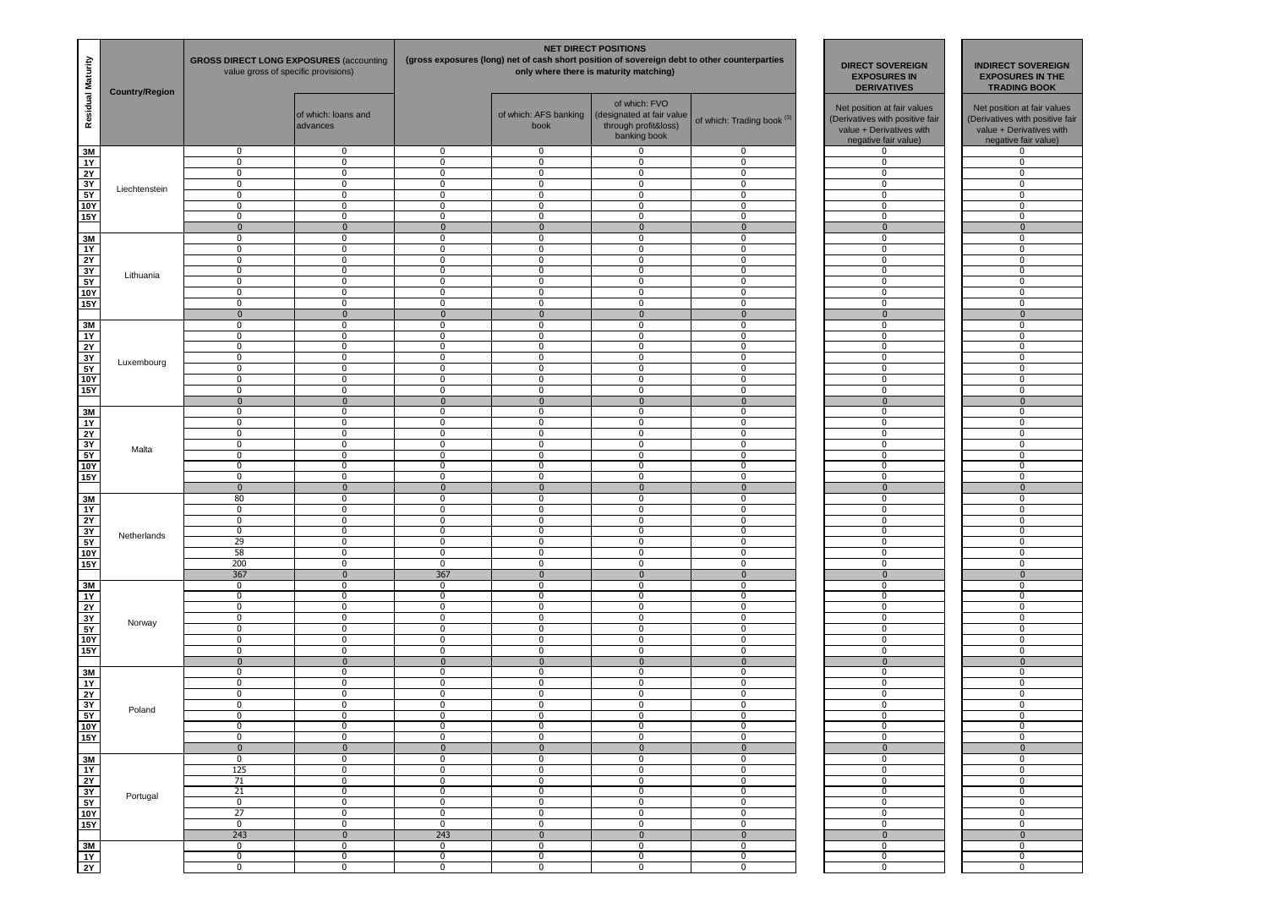| Residual Maturity | <b>Country/Region</b> | <b>GROSS DIRECT LONG EXPOSURES (accounting)</b><br>value gross of specific provisions) |                                 | <b>NET DIRECT POSITIONS</b><br>(gross exposures (long) net of cash short position of sovereign debt to other counterparties<br>only where there is maturity matching) |                               |                                                                                    |                                       | <b>DIRECT SOVEREIGN</b><br><b>EXPOSURES IN</b><br><b>DERIVATIVES</b>                                               |  | <b>INDIRECT SOVEREIGN</b><br><b>EXPOSURES IN THE</b><br><b>TRADING BOOK</b>                                        |
|-------------------|-----------------------|----------------------------------------------------------------------------------------|---------------------------------|-----------------------------------------------------------------------------------------------------------------------------------------------------------------------|-------------------------------|------------------------------------------------------------------------------------|---------------------------------------|--------------------------------------------------------------------------------------------------------------------|--|--------------------------------------------------------------------------------------------------------------------|
|                   |                       |                                                                                        | of which: loans and<br>advances |                                                                                                                                                                       | of which: AFS banking<br>book | of which: FVO<br>(designated at fair value<br>through profit&loss)<br>banking book | of which: Trading book <sup>(3)</sup> | Net position at fair values<br>(Derivatives with positive fair<br>value + Derivatives with<br>negative fair value) |  | Net position at fair values<br>(Derivatives with positive fair<br>value + Derivatives with<br>negative fair value) |
| 3M<br>1Y          |                       | 0<br>$\overline{0}$                                                                    | 0<br>0                          | $\mathbf 0$<br>$\mathbf 0$                                                                                                                                            | 0<br>0                        | 0<br>0                                                                             | 0<br>0                                | 0<br>0                                                                                                             |  | 0<br>$\mathbf 0$                                                                                                   |
| 2Y                |                       | $\mathbf 0$                                                                            | 0                               | $\mathbf 0$                                                                                                                                                           | $\mathbf 0$                   | 0                                                                                  | 0                                     | 0                                                                                                                  |  | $\mathbf 0$                                                                                                        |
| 3Y                | Liechtenstein         | $\overline{0}$                                                                         | $\overline{0}$                  | $\mathbf 0$                                                                                                                                                           | $\overline{0}$                | $\overline{0}$                                                                     | $\overline{0}$                        | $\overline{0}$                                                                                                     |  | $\overline{0}$                                                                                                     |
| $\frac{1}{5Y}$    |                       | $\mathbf 0$                                                                            | 0                               | $\mathbf 0$                                                                                                                                                           | $\mathbf 0$                   | $\mathbf 0$                                                                        | $\mathbf 0$                           | $\mathbf 0$                                                                                                        |  | $\mathbf 0$                                                                                                        |
| 10Y<br>15Y        |                       | $\mathbf 0$<br>$\mathbf 0$                                                             | 0<br>0                          | $\mathbf 0$<br>$\mathbf 0$                                                                                                                                            | 0<br>0                        | 0<br>0                                                                             | $\mathbf 0$<br>0                      | $\mathbf 0$<br>0                                                                                                   |  | $^{\circ}$<br>$\mathbf 0$                                                                                          |
|                   |                       | $\mathbf{0}$                                                                           | $\mathbf{0}$                    | $\mathbf{0}$                                                                                                                                                          | $\mathbf{0}$                  | $\mathbf{0}$                                                                       | $\mathbf 0$                           | $\mathbf{0}$                                                                                                       |  | $\mathbf{0}$                                                                                                       |
| 3M                |                       | $\overline{0}$                                                                         | 0                               | $\mathbf 0$                                                                                                                                                           | 0                             | $\mathbf 0$                                                                        | 0                                     | 0                                                                                                                  |  | $\mathbf 0$                                                                                                        |
| <b>1Y</b>         |                       | $\mathbf 0$                                                                            | 0                               | $\mathbf 0$                                                                                                                                                           | $\mathbf 0$                   | $\mathbf 0$                                                                        | $\mathbf 0$                           | 0                                                                                                                  |  | $\mathbf 0$                                                                                                        |
| 2Y<br>3Y          |                       | $\mathbf 0$<br>$\mathbf 0$                                                             | 0<br>0                          | $\mathbf 0$<br>0                                                                                                                                                      | 0<br>0                        | $\mathbf 0$<br>0                                                                   | $\mathbf 0$<br>0                      | $\mathbf{0}$<br>0                                                                                                  |  | $^{\circ}$<br>$\mathbf 0$                                                                                          |
| 5Y                | Lithuania             | $\mathbf 0$                                                                            | 0                               | 0                                                                                                                                                                     | $\mathbf 0$                   | 0                                                                                  | $\mathbf 0$                           | 0                                                                                                                  |  | $\bf{0}$                                                                                                           |
| <b>10Y</b>        |                       | $\mathbf 0$                                                                            | 0                               | $\mathbf 0$                                                                                                                                                           | $\mathbf 0$                   | 0                                                                                  | $\mathbf 0$                           | 0                                                                                                                  |  | $\mathbf 0$                                                                                                        |
| 15Y               |                       | $\mathbf 0$                                                                            | 0                               | $\mathbf 0$                                                                                                                                                           | $\mathbf 0$                   | $\mathbf 0$                                                                        | $\mathbf 0$                           | 0                                                                                                                  |  | $\mathbf 0$                                                                                                        |
| 3M                |                       | $\mathbf{0}$<br>$\mathbf 0$                                                            | $\mathbf{0}$<br>0               | $\mathbf{0}$<br>0                                                                                                                                                     | $\mathbf{0}$<br>0             | $\mathbf 0$<br>0                                                                   | $\mathbf{0}$<br>$\mathbf 0$           | $\mathbf{0}$<br>0                                                                                                  |  | $\mathbf{0}$<br>0                                                                                                  |
| 1Y                |                       | $\overline{0}$                                                                         | 0                               | $\mathbf 0$                                                                                                                                                           | 0                             | $\overline{0}$                                                                     | 0                                     | $\overline{0}$                                                                                                     |  | $\overline{0}$                                                                                                     |
| $\frac{2Y}{3Y}$   |                       | $\mathbf 0$                                                                            | 0                               | $\mathbf 0$                                                                                                                                                           | $\mathbf 0$                   | 0                                                                                  | $\mathbf 0$                           | 0                                                                                                                  |  | $\mathbf 0$                                                                                                        |
|                   | Luxembourg            | $\bf{0}$                                                                               | 0                               | $\mathbf 0$                                                                                                                                                           | $\mathbf 0$                   | $\mathbf 0$                                                                        | $\mathbf 0$                           | $\mathbf 0$                                                                                                        |  | $\mathbf 0$                                                                                                        |
| 5Y<br><b>10Y</b>  |                       | $\mathbf 0$<br>$\mathbf 0$                                                             | 0<br>0                          | $\mathbf 0$<br>0                                                                                                                                                      | 0<br>0                        | 0<br>0                                                                             | 0<br>$\mathbf 0$                      | $\mathbf 0$<br>0                                                                                                   |  | $\mathbf 0$<br>$\mathbf 0$                                                                                         |
| <b>15Y</b>        |                       | $\overline{0}$                                                                         | 0                               | 0                                                                                                                                                                     | 0                             | $\overline{0}$                                                                     | 0                                     | 0                                                                                                                  |  | $\overline{0}$                                                                                                     |
|                   |                       | $\mathbf 0$                                                                            | $\mathbf 0$                     | $\mathbf{0}$                                                                                                                                                          | $\mathbf 0$                   | $\mathbf 0$                                                                        | $\mathbf 0$                           | $\mathbf{0}$                                                                                                       |  | $\mathbf{0}$                                                                                                       |
| 3M                |                       | $\mathbf 0$                                                                            | 0                               | $\mathbf 0$                                                                                                                                                           | $\mathbf 0$                   | $\mathbf 0$                                                                        | $\mathbf 0$                           | $\mathbf 0$                                                                                                        |  | $\mathbf 0$                                                                                                        |
| 1Y                |                       | $\mathbf 0$                                                                            | 0                               | $\mathbf 0$                                                                                                                                                           | 0                             | $\mathbf 0$                                                                        | $\mathbf 0$                           | 0                                                                                                                  |  | $\mathbf 0$                                                                                                        |
| 2Y<br>3Y          |                       | $\mathbf 0$<br>$\mathbf 0$                                                             | 0<br>0                          | 0<br>$\mathbf 0$                                                                                                                                                      | 0<br>$\mathbf 0$              | 0<br>0                                                                             | 0<br>0                                | 0<br>0                                                                                                             |  | $\mathbf 0$<br>$\mathbf 0$                                                                                         |
| 5Y                | Malta                 | $\mathbf 0$                                                                            | 0                               | $\mathbf 0$                                                                                                                                                           | $\mathbf 0$                   | 0                                                                                  | $\mathbf 0$                           | 0                                                                                                                  |  | $\mathbf 0$                                                                                                        |
| <b>10Y</b>        |                       | $\mathbf 0$                                                                            | 0                               | $\mathbf 0$                                                                                                                                                           | $\mathbf 0$                   | $\mathbf 0$                                                                        | $\mathbf 0$                           | 0                                                                                                                  |  | $\mathbf 0$                                                                                                        |
| <b>15Y</b>        |                       | $\mathbf 0$                                                                            | 0                               | $\mathbf 0$                                                                                                                                                           | 0                             | $\mathbf 0$                                                                        | 0                                     | $\mathbf 0$                                                                                                        |  | $^{\circ}$                                                                                                         |
| 3M                |                       | $\mathbf 0$<br>80                                                                      | $\mathbf{0}$<br>0               | $\mathbf{0}$<br>0                                                                                                                                                     | $\bf{0}$<br>0                 | $\mathbf 0$<br>0                                                                   | $\mathbf 0$<br>0                      | $\mathbf{0}$<br>0                                                                                                  |  | $\mathbf{0}$<br>0                                                                                                  |
| 1Y                |                       | $\mathbf 0$                                                                            | 0                               | $\mathbf 0$                                                                                                                                                           | $\mathbf 0$                   | 0                                                                                  | $\mathbf 0$                           | 0                                                                                                                  |  | $\mathbf 0$                                                                                                        |
| 2Y                |                       | $\mathbf 0$                                                                            | 0                               | $\mathbf 0$                                                                                                                                                           | $\mathbf 0$                   | $\mathbf 0$                                                                        | $\mathbf 0$                           | $\mathbf 0$                                                                                                        |  | $\mathbf 0$                                                                                                        |
| $\overline{3Y}$   | Netherlands           | $\mathbf 0$                                                                            | 0                               | $\mathbf 0$                                                                                                                                                           | 0                             | $\mathbf 0$                                                                        | 0                                     | $\mathbf 0$                                                                                                        |  | $^{\circ}$                                                                                                         |
| 5Y<br>10Y         |                       | 29<br>58                                                                               | 0<br>0                          | 0<br>0                                                                                                                                                                | 0<br>0                        | $\overline{0}$<br>0                                                                | 0<br>0                                | $\overline{0}$<br>0                                                                                                |  | 0<br>0                                                                                                             |
| 15Y               |                       | 200                                                                                    | 0                               | $\mathbf 0$                                                                                                                                                           | $\mathbf 0$                   | 0                                                                                  | $\mathbf 0$                           | 0                                                                                                                  |  | $\mathbf 0$                                                                                                        |
|                   |                       | 367                                                                                    | $\mathbf 0$                     | 367                                                                                                                                                                   | $\mathbf 0$                   | $\mathbf 0$                                                                        | $\mathbf{0}$                          | $\mathbf{0}$                                                                                                       |  | $\mathbf 0$                                                                                                        |
| 3M                |                       | $\mathbf 0$                                                                            | 0                               | $\mathbf 0$                                                                                                                                                           | 0                             | 0                                                                                  | 0                                     | 0                                                                                                                  |  | $\mathbf 0$                                                                                                        |
| 1Y<br>2Y          |                       | $\mathbf 0$<br>$\mathbf 0$                                                             | 0<br>0                          | $\mathbf 0$<br>$\mathbf 0$                                                                                                                                            | 0<br>0                        | $\mathbf 0$<br>0                                                                   | $\mathbf 0$<br>0                      | $\mathbf 0$<br>0                                                                                                   |  | $\mathbf 0$<br>0                                                                                                   |
| 3Y                |                       | $\mathbf 0$                                                                            | 0                               | $\mathbf 0$                                                                                                                                                           | $\mathbf 0$                   | 0                                                                                  | $\mathbf 0$                           | 0                                                                                                                  |  | $\bf{0}$                                                                                                           |
| 5Y                | Norway                | $\bf{0}$                                                                               | 0                               | $\mathbf 0$                                                                                                                                                           | $\mathbf 0$                   | 0                                                                                  | $\mathbf 0$                           | 0                                                                                                                  |  | $\mathbf 0$                                                                                                        |
| <b>10Y</b>        |                       | $\mathbf 0$                                                                            | 0                               | $\mathbf 0$                                                                                                                                                           | 0                             | $\mathbf 0$                                                                        | 0                                     | 0                                                                                                                  |  | $\mathbf 0$                                                                                                        |
| 15Y               |                       | $\mathbf 0$<br>$\mathbf 0$                                                             | 0<br>$\mathbf 0$                | $\mathbf 0$<br>$\mathbf{0}$                                                                                                                                           | $\mathbf 0$<br>$\mathbf{0}$   | $\mathbf 0$<br>$\mathbf 0$                                                         | $\mathbf 0$<br>$\mathbf{0}$           | $\mathbf 0$<br>$\mathbf{0}$                                                                                        |  | $\mathbf 0$<br>$\mathbf{0}$                                                                                        |
| 3M                |                       | $\mathbf 0$                                                                            | 0                               | $\mathbf 0$                                                                                                                                                           | $\mathbf 0$                   | 0                                                                                  | $\mathbf 0$                           | 0                                                                                                                  |  | $\mathbf 0$                                                                                                        |
| <b>1Y</b>         |                       | $\mathbf 0$                                                                            | 0                               | $\mathbf 0$                                                                                                                                                           | 0                             | 0                                                                                  | $\mathbf 0$                           | 0                                                                                                                  |  | $\mathbf 0$                                                                                                        |
| 2Y                |                       | $\mathbf 0$                                                                            | 0                               | $\mathbf 0$                                                                                                                                                           | 0                             | $\mathbf 0$                                                                        | 0                                     | 0                                                                                                                  |  | $\mathbf{0}$                                                                                                       |
| 3Y                | Poland                | $\mathbf 0$<br>0                                                                       | 0<br>0                          | $\mathbf 0$<br>0                                                                                                                                                      | 0<br>0                        | $\mathbf 0$<br>0                                                                   | 0<br>0                                | 0<br>0                                                                                                             |  | $\mathbf 0$<br>0                                                                                                   |
| $\frac{5Y}{10Y}$  |                       | $\bf{0}$                                                                               | 0                               | $\mathbf 0$                                                                                                                                                           | $\mathbf 0$                   | 0                                                                                  | $\mathbf 0$                           | 0                                                                                                                  |  | $\mathbf 0$                                                                                                        |
| <b>15Y</b>        |                       | $\bf{0}$                                                                               | 0                               | $\mathbf 0$                                                                                                                                                           | $\mathbf 0$                   | 0                                                                                  | $\mathbf 0$                           | $\mathbf 0$                                                                                                        |  | $\mathbf 0$                                                                                                        |
|                   |                       | $\overline{0}$                                                                         | $\bf{0}$                        | $\pmb{0}$                                                                                                                                                             | $\mathbf 0$                   | $\pmb{0}$                                                                          | $\bf{0}$                              | $\overline{0}$                                                                                                     |  | $\bf{0}$                                                                                                           |
| 3M<br>1Y          |                       | $\mathbf 0$<br>125                                                                     | 0<br>0                          | 0<br>0                                                                                                                                                                | 0<br>$\mathbf 0$              | 0<br>0                                                                             | 0<br>$\mathbf 0$                      | 0<br>$\overline{0}$                                                                                                |  | $\mathbf 0$<br>$\mathbf 0$                                                                                         |
|                   |                       | 71                                                                                     | 0                               | 0                                                                                                                                                                     | $\mathbf 0$                   | 0                                                                                  | $\mathbf 0$                           | 0                                                                                                                  |  | $\bf{0}$                                                                                                           |
| $\frac{2Y}{3Y}$   | Portugal              | 21                                                                                     | 0                               | $\bf{0}$                                                                                                                                                              | $\mathbf 0$                   | 0                                                                                  | $\mathbf 0$                           | 0                                                                                                                  |  | $\bf{0}$                                                                                                           |
|                   |                       | $\overline{0}$                                                                         | 0                               | $\mathbf 0$                                                                                                                                                           | $\mathbf 0$                   | 0                                                                                  | $\mathbf 0$                           | $\overline{0}$                                                                                                     |  | $\mathbf 0$                                                                                                        |
| 10Y<br>15Y        |                       | 27<br>$\overline{0}$                                                                   | 0<br>0                          | 0<br>0                                                                                                                                                                | 0<br>$\mathbf 0$              | 0<br>$\overline{0}$                                                                | 0<br>$\mathbf 0$                      | $\overline{0}$<br>$\overline{0}$                                                                                   |  | $\mathbf 0$<br>$\overline{0}$                                                                                      |
|                   |                       | 243                                                                                    | $\bf{0}$                        | 243                                                                                                                                                                   | $\pmb{0}$                     | $\pmb{0}$                                                                          | $\pmb{0}$                             | $\mathbf 0$                                                                                                        |  | $\mathbf 0$                                                                                                        |
| 3M                |                       | $\overline{0}$                                                                         | 0                               | 0                                                                                                                                                                     | 0                             | 0                                                                                  | 0                                     | $\overline{0}$                                                                                                     |  | $\overline{0}$                                                                                                     |
| 1Y                |                       | $\mathbf 0$                                                                            | 0                               | $\bf{0}$                                                                                                                                                              | $\mathbf 0$                   | 0                                                                                  | $\mathbf 0$                           | $\overline{0}$                                                                                                     |  | $\bf{0}$                                                                                                           |
| $\frac{1}{2Y}$    |                       | $\overline{0}$                                                                         | $\overline{0}$                  | $\mathbf 0$                                                                                                                                                           | $\mathbf 0$                   | $\overline{0}$                                                                     | $\mathbf 0$                           | $\overline{0}$                                                                                                     |  | $\bf{0}$                                                                                                           |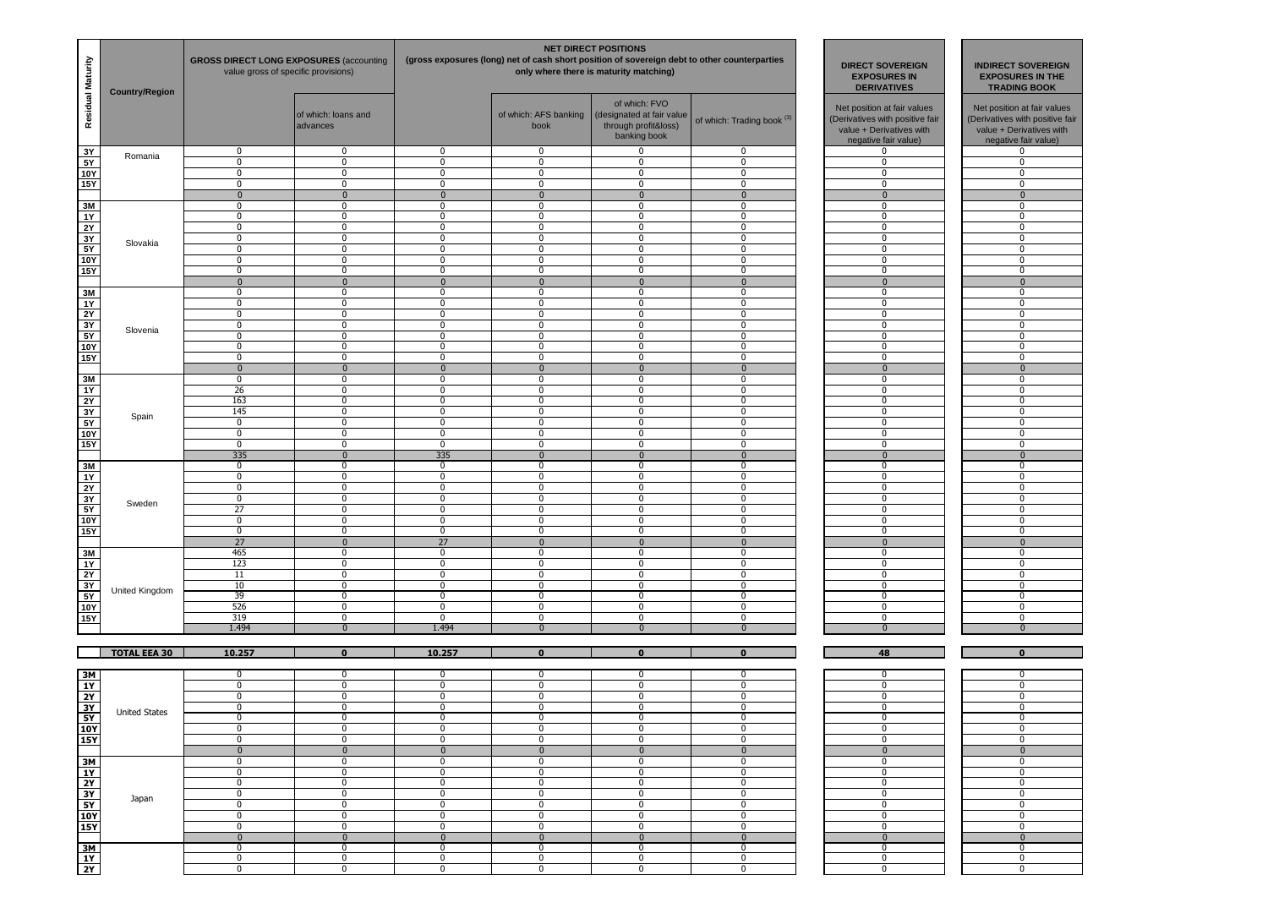| Residual Maturity                                                  | <b>Country/Region</b> | <b>GROSS DIRECT LONG EXPOSURES (accounting)</b><br>value gross of specific provisions) |                                 |                         | <b>NET DIRECT POSITIONS</b><br>(gross exposures (long) net of cash short position of sovereign debt to other counterparties<br>only where there is maturity matching) | <b>DIRECT SOVEREIGN</b><br><b>EXPOSURES IN</b><br><b>DERIVATIVES</b>               | <b>INDIRECT SOVEREIGN</b><br><b>EXPOSURES IN THE</b><br><b>TRADING BOOK</b> |                                                                                                                    |                                                                                                                    |
|--------------------------------------------------------------------|-----------------------|----------------------------------------------------------------------------------------|---------------------------------|-------------------------|-----------------------------------------------------------------------------------------------------------------------------------------------------------------------|------------------------------------------------------------------------------------|-----------------------------------------------------------------------------|--------------------------------------------------------------------------------------------------------------------|--------------------------------------------------------------------------------------------------------------------|
|                                                                    |                       |                                                                                        | of which: loans and<br>advances |                         | of which: AFS banking<br>book                                                                                                                                         | of which: FVO<br>(designated at fair value<br>through profit&loss)<br>banking book | of which: Trading book <sup>(3)</sup>                                       | Net position at fair values<br>(Derivatives with positive fair<br>value + Derivatives with<br>negative fair value) | Net position at fair values<br>(Derivatives with positive fair<br>value + Derivatives with<br>negative fair value) |
| 3Y<br>5Y                                                           | Romania               | 0<br>$\mathbf 0$                                                                       | $\mathbf{0}$<br>$\bf{0}$        | 0<br>0                  | 0<br>$\mathbf 0$                                                                                                                                                      | 0<br>0                                                                             | 0<br>$\mathbf 0$                                                            | 0<br>$\mathbf 0$                                                                                                   | 0<br>$\mathbf 0$                                                                                                   |
| 10Y                                                                |                       | 0                                                                                      | $\bf{0}$                        | 0                       | $\mathbf 0$                                                                                                                                                           | 0                                                                                  | $\mathbf 0$                                                                 | $\mathbf 0$                                                                                                        | 0                                                                                                                  |
| 15Y                                                                |                       | $\overline{0}$                                                                         | $\overline{0}$                  | $\overline{0}$          | $\overline{0}$                                                                                                                                                        | $\overline{0}$                                                                     | $\overline{0}$                                                              | $\overline{0}$                                                                                                     | $\overline{0}$                                                                                                     |
|                                                                    |                       | $\mathbf{0}$                                                                           | $\mathbf 0$                     | $\mathbf{0}$            | $\mathbf 0$                                                                                                                                                           | $\mathbf{0}$                                                                       | $\Omega$                                                                    | $\mathbf{0}$                                                                                                       | $\mathbf{0}$                                                                                                       |
| 3M<br>1Y                                                           |                       | 0<br>0                                                                                 | $\mathbf{0}$<br>$\mathbf 0$     | $\mathbf 0$<br>0        | 0<br>$\mathbf 0$                                                                                                                                                      | 0<br>0                                                                             | 0<br>$\mathbf 0$                                                            | 0<br>0                                                                                                             | $\mathbf{0}$<br>$\mathbf 0$                                                                                        |
| 2Y                                                                 |                       | 0                                                                                      | $\mathbf 0$                     | 0                       | $\mathbf 0$                                                                                                                                                           | 0                                                                                  | $\mathbf 0$                                                                 | $\mathbf 0$                                                                                                        | $\mathbf 0$                                                                                                        |
| $\frac{3Y}{5Y}$                                                    | Slovakia              | 0                                                                                      | $\overline{0}$                  | 0                       | $\overline{0}$                                                                                                                                                        | $\overline{0}$                                                                     | $\overline{0}$                                                              | 0                                                                                                                  | 0                                                                                                                  |
|                                                                    |                       | 0                                                                                      | $\mathbf 0$                     | $\mathbf 0$             | $\mathbf 0$                                                                                                                                                           | 0                                                                                  | $\mathbf 0$                                                                 | $\mathbf 0$                                                                                                        | $\mathbf 0$                                                                                                        |
| 10Y<br>15Y                                                         |                       | 0<br>$\mathbf 0$                                                                       | $\mathbf{0}$<br>$\bf{0}$        | $\mathbf 0$<br>0        | 0<br>$\mathbf 0$                                                                                                                                                      | 0<br>0                                                                             | 0<br>$\mathbf 0$                                                            | 0<br>0                                                                                                             | $\mathbf{0}$<br>$\mathbf 0$                                                                                        |
|                                                                    |                       | $\mathbf{0}$                                                                           | $\mathbf{0}$                    | $\mathbf{0}$            | $\mathbf 0$                                                                                                                                                           | $\mathbf{0}$                                                                       | $\mathbf{0}$                                                                | $\mathbf{0}$                                                                                                       | $\mathbf{0}$                                                                                                       |
| 3M                                                                 |                       | 0                                                                                      | $\mathbf 0$                     | 0                       | $\mathbf 0$                                                                                                                                                           | 0                                                                                  | $\mathbf 0$                                                                 | $\mathbf 0$                                                                                                        | $\mathbf 0$                                                                                                        |
| 1Y                                                                 |                       | 0                                                                                      | $\mathbf 0$                     | 0                       | $\mathbf 0$                                                                                                                                                           | 0                                                                                  | $\mathbf 0$                                                                 | $\mathbf 0$                                                                                                        | $\mathbf 0$                                                                                                        |
| $\frac{1}{2Y}$                                                     |                       | $\mathbf 0$                                                                            | $\bf{0}$<br>$\bf{0}$            | 0<br>0                  | 0<br>$\mathbf 0$                                                                                                                                                      | 0<br>0                                                                             | 0<br>$\mathbf 0$                                                            | 0                                                                                                                  | 0<br>$\mathbf 0$                                                                                                   |
| 3Y<br>5Y                                                           | Slovenia              | 0<br>0                                                                                 | $\overline{0}$                  | 0                       | $\overline{\mathbf{0}}$                                                                                                                                               | $\overline{0}$                                                                     | $\overline{0}$                                                              | 0<br>0                                                                                                             | 0                                                                                                                  |
| 10Y                                                                |                       | 0                                                                                      | $\bf{0}$                        | 0                       | $\mathbf 0$                                                                                                                                                           | 0                                                                                  | $\mathbf 0$                                                                 | $\mathbf 0$                                                                                                        | $\mathbf 0$                                                                                                        |
| 15Y                                                                |                       | 0                                                                                      | $\mathbf 0$                     | 0                       | $\mathbf 0$                                                                                                                                                           | 0                                                                                  | $\mathbf 0$                                                                 | $\mathbf 0$                                                                                                        | $\mathbf 0$                                                                                                        |
|                                                                    |                       | $\bf{0}$                                                                               | $\mathbf 0$                     | $\mathbf 0$             | $\overline{0}$                                                                                                                                                        | $\mathbf{0}$                                                                       | $\mathbf{0}$                                                                | $\mathbf{0}$                                                                                                       | $\mathbf{0}$                                                                                                       |
| 3M<br>1Y                                                           |                       | $\mathbf 0$<br>26                                                                      | $\bf{0}$<br>$\overline{0}$      | 0<br>0                  | $\mathbf 0$<br>$\overline{\mathbf{0}}$                                                                                                                                | 0<br>$\overline{0}$                                                                | $\mathbf 0$<br>0                                                            | 0<br>0                                                                                                             | $\mathbf 0$<br>0                                                                                                   |
|                                                                    |                       | 163                                                                                    | $\bf{0}$                        | 0                       | $\mathbf 0$                                                                                                                                                           | 0                                                                                  | $\mathbf 0$                                                                 | $\mathbf 0$                                                                                                        | $\mathbf 0$                                                                                                        |
| $\frac{2Y}{3Y}$                                                    |                       | 145                                                                                    | $\mathbf 0$                     | 0                       | $\mathbf 0$                                                                                                                                                           | 0                                                                                  | $\mathbf 0$                                                                 | $\mathbf 0$                                                                                                        | $\mathbf 0$                                                                                                        |
| 5Y                                                                 | Spain                 | $\mathbf 0$                                                                            | $\mathbf 0$                     | $\mathbf 0$             | 0                                                                                                                                                                     | 0                                                                                  | 0                                                                           | 0                                                                                                                  | $\mathbf{0}$                                                                                                       |
| <b>10Y</b>                                                         |                       | $\mathbf 0$                                                                            | $\bf{0}$                        | 0                       | $\mathbf 0$                                                                                                                                                           | 0                                                                                  | $\mathbf 0$                                                                 | 0                                                                                                                  | $\mathbf 0$                                                                                                        |
| 15Y                                                                |                       | $\mathbf 0$<br>335                                                                     | $\bf{0}$<br>$\bf{0}$            | 0<br>335                | $\mathbf 0$<br>$\mathbf{0}$                                                                                                                                           | 0<br>$\mathbf{0}$                                                                  | $\mathbf 0$<br>$\Omega$                                                     | $\mathbf 0$<br>$\mathbf 0$                                                                                         | $\mathbf 0$<br>$\bf{0}$                                                                                            |
| 3M                                                                 |                       | 0                                                                                      | $\mathbf 0$                     | 0                       | $\mathbf 0$                                                                                                                                                           | 0                                                                                  | $\mathbf 0$                                                                 | $\mathbf 0$                                                                                                        | $\mathbf 0$                                                                                                        |
| 1Y                                                                 |                       | $\mathbf 0$                                                                            | $\bf{0}$                        | 0                       | $\mathbf 0$                                                                                                                                                           | 0                                                                                  | 0                                                                           | 0                                                                                                                  | $\mathbf{0}$                                                                                                       |
| 2Y                                                                 |                       | 0                                                                                      | $\overline{0}$                  | 0                       | $\overline{0}$                                                                                                                                                        | $\overline{0}$                                                                     | 0                                                                           | 0                                                                                                                  | 0                                                                                                                  |
| 3Y                                                                 | Sweden                | 0<br>27                                                                                | $\mathbf 0$<br>$\mathbf 0$      | 0<br>0                  | $\mathbf 0$<br>$\mathbf 0$                                                                                                                                            | 0<br>0                                                                             | $\mathbf 0$<br>$\mathbf 0$                                                  | 0<br>$\mathbf 0$                                                                                                   | 0<br>$\mathbf 0$                                                                                                   |
| 5Y<br>10Y                                                          |                       | $\mathbf 0$                                                                            | $\mathbf 0$                     | $\mathbf 0$             | $\mathbf 0$                                                                                                                                                           | 0                                                                                  | $\mathbf{0}$                                                                | $\mathbf 0$                                                                                                        | $\mathbf 0$                                                                                                        |
| 15Y                                                                |                       | $\mathbf 0$                                                                            | $\mathbf 0$                     | $\mathbf 0$             | 0                                                                                                                                                                     | 0                                                                                  | 0                                                                           | 0                                                                                                                  | $\mathbf{0}$                                                                                                       |
|                                                                    |                       | 27                                                                                     | $\mathbf{0}$                    | 27                      | $\mathbf 0$                                                                                                                                                           | $\mathbf 0$                                                                        | $\mathbf{0}$                                                                | $\mathbf{0}$                                                                                                       | $\mathbf{0}$                                                                                                       |
| 3M                                                                 |                       | 465                                                                                    | 0                               | 0                       | $\mathbf 0$                                                                                                                                                           | 0                                                                                  | 0                                                                           | 0                                                                                                                  | 0                                                                                                                  |
| 1Y                                                                 |                       | 123<br>11                                                                              | $\bf{0}$<br>$\mathbf 0$         | 0<br>0                  | $\mathbf 0$<br>$\mathbf 0$                                                                                                                                            | 0<br>0                                                                             | $\mathbf 0$<br>$\mathbf 0$                                                  | $\mathbf 0$<br>$\mathbf 0$                                                                                         | $\mathbf 0$<br>$\mathbf 0$                                                                                         |
| $\frac{2Y}{3Y}$                                                    |                       | 10                                                                                     | $\bf{0}$                        | $\mathbf 0$             | 0                                                                                                                                                                     | 0                                                                                  | 0                                                                           | 0                                                                                                                  | $\mathbf{0}$                                                                                                       |
| 5Y                                                                 | United Kingdom        | 39                                                                                     | $\mathbf 0$                     | 0                       | $\mathbf 0$                                                                                                                                                           | 0                                                                                  | 0                                                                           | $\mathbf 0$                                                                                                        | $\mathbf 0$                                                                                                        |
| <b>10Y</b>                                                         |                       | 526                                                                                    | $\mathbf 0$                     | 0                       | $\mathbf 0$                                                                                                                                                           | 0                                                                                  | $\mathbf 0$                                                                 | 0                                                                                                                  | 0                                                                                                                  |
| 15Y                                                                |                       | 319<br>1.494                                                                           | $\bf{0}$<br>$\overline{0}$      | 0<br>1.494              | $\mathbf 0$<br>$\mathbf{0}$                                                                                                                                           | 0<br>$\overline{0}$                                                                | $\mathbf 0$<br>$\Omega$                                                     | $\mathbf 0$<br>$\overline{0}$                                                                                      | $\mathbf 0$<br>$\bf{0}$                                                                                            |
|                                                                    |                       |                                                                                        |                                 |                         |                                                                                                                                                                       |                                                                                    |                                                                             |                                                                                                                    |                                                                                                                    |
|                                                                    | <b>TOTAL EEA 30</b>   | 10.257                                                                                 | $\mathbf{0}$                    | 10.257                  | $\mathbf{0}$                                                                                                                                                          | $\mathbf{0}$                                                                       | $\mathbf{0}$                                                                | 48                                                                                                                 | $\mathbf{0}$                                                                                                       |
|                                                                    |                       |                                                                                        |                                 |                         |                                                                                                                                                                       |                                                                                    |                                                                             |                                                                                                                    |                                                                                                                    |
| 3M                                                                 |                       | 0                                                                                      | 0                               | 0                       | 0                                                                                                                                                                     | $\overline{0}$                                                                     | 0                                                                           | 0                                                                                                                  | 0                                                                                                                  |
| 1Y<br>2Y                                                           |                       | $\overline{0}$<br>$\mathbf 0$                                                          | $\overline{0}$<br>$\mathbf 0$   | 0<br>0                  | $\overline{0}$<br>$\mathbf 0$                                                                                                                                         | $\overline{0}$<br>$\mathbf 0$                                                      | $\overline{0}$<br>$\mathbf 0$                                               | $\overline{0}$<br>$\mathbf 0$                                                                                      | $\overline{0}$<br>$\mathbf 0$                                                                                      |
| 3Y                                                                 |                       | $\mathbf{0}$                                                                           | $\mathbf 0$                     | 0                       | $\mathbf 0$                                                                                                                                                           | $\mathbf 0$                                                                        | 0                                                                           | $\mathbf 0$                                                                                                        | $\mathbf{0}$                                                                                                       |
|                                                                    | <b>United States</b>  | $\mathbf{0}$                                                                           | $\overline{0}$                  | 0                       | $\overline{0}$                                                                                                                                                        | $\overline{0}$                                                                     | $\overline{0}$                                                              | 0                                                                                                                  | 0                                                                                                                  |
|                                                                    |                       | $\bf{0}$                                                                               | $\bf{0}$                        | 0                       | $\mathbf 0$                                                                                                                                                           | $\overline{0}$                                                                     | $\overline{0}$                                                              | $\bf{0}$                                                                                                           | 0                                                                                                                  |
| $\frac{\frac{5Y}{10Y}}{\frac{15Y}{15Y}}$                           |                       | $\overline{0}$<br>$\bf{0}$                                                             | $\overline{0}$<br>$\bf{0}$      | $\overline{0}$          | $\overline{\mathbf{0}}$<br>$\bf{0}$                                                                                                                                   | $\overline{0}$<br>$\bf{0}$                                                         | $\overline{0}$<br>$\bf{0}$                                                  | $\overline{0}$<br>$\bf{0}$                                                                                         | $\overline{0}$<br>$\pmb{0}$                                                                                        |
|                                                                    |                       | 0                                                                                      | 0                               | $\bf{0}$<br>0           | $\mathbf 0$                                                                                                                                                           | 0                                                                                  | $\mathbf 0$                                                                 | $\bf{0}$                                                                                                           | 0                                                                                                                  |
| $\frac{3M}{1Y}$ $\frac{2Y}{3Y}$ $\frac{3Y}{10Y}$ $\frac{10Y}{15Y}$ |                       | $\bm{0}$                                                                               | $\bf{0}$                        | $\mathbf 0$             | $\mathbf 0$                                                                                                                                                           | 0                                                                                  | $\overline{0}$                                                              | $\bf{0}$                                                                                                           | 0                                                                                                                  |
|                                                                    |                       | $\bf{0}$                                                                               | $\bf{0}$                        | $\bf{0}$                | $\mathbf 0$                                                                                                                                                           | $\overline{0}$                                                                     | $\mathbf 0$                                                                 | $\bf{0}$                                                                                                           | 0                                                                                                                  |
|                                                                    | Japan                 | $\bf{0}$                                                                               | $\bf{0}$                        | $\bf{0}$                | $\mathbf 0$                                                                                                                                                           | $\overline{0}$                                                                     | $\overline{\mathbf{0}}$                                                     | $\overline{0}$                                                                                                     | $\bf{0}$                                                                                                           |
|                                                                    |                       | $\bf{0}$<br>$\bf{0}$                                                                   | $\bf{0}$<br>$\bf{0}$            | 0<br>0                  | $\mathbf 0$<br>$\overline{0}$                                                                                                                                         | 0<br>$\overline{0}$                                                                | $\mathbf 0$<br>$\overline{0}$                                               | $\bf{0}$<br>$\pmb{0}$                                                                                              | 0<br>0                                                                                                             |
|                                                                    |                       | $\bf{0}$                                                                               | $\bf{0}$                        | $\mathbf 0$             | $\mathbf 0$                                                                                                                                                           | $\overline{0}$                                                                     | $\overline{\mathbf{0}}$                                                     | $\bf{0}$                                                                                                           | $\mathbf 0$                                                                                                        |
|                                                                    |                       | $\overline{0}$                                                                         | $\overline{0}$                  | $\mathbf 0$             | $\overline{0}$                                                                                                                                                        | $\overline{0}$                                                                     | $\overline{0}$                                                              | $\overline{0}$                                                                                                     | $\overline{0}$                                                                                                     |
| $\frac{3M}{1Y}$                                                    |                       | $\overline{0}$                                                                         | $\overline{0}$                  | $\overline{\mathbf{0}}$ | $\overline{\mathbf{0}}$                                                                                                                                               | $\overline{0}$                                                                     | $\overline{\mathbf{0}}$                                                     | $\overline{0}$                                                                                                     | $\overline{0}$                                                                                                     |
|                                                                    |                       | $\bf{0}$<br>$\overline{0}$                                                             | $\bf{0}$<br>$\overline{0}$      | $\bf{0}$<br>$\mathbf 0$ | $\mathbf 0$<br>$\overline{0}$                                                                                                                                         | $\overline{0}$<br>$\overline{0}$                                                   | $\overline{0}$<br>$\overline{0}$                                            | $\overline{0}$                                                                                                     | 0<br>$\overline{0}$                                                                                                |
|                                                                    |                       |                                                                                        |                                 |                         |                                                                                                                                                                       |                                                                                    |                                                                             | $\overline{0}$                                                                                                     |                                                                                                                    |